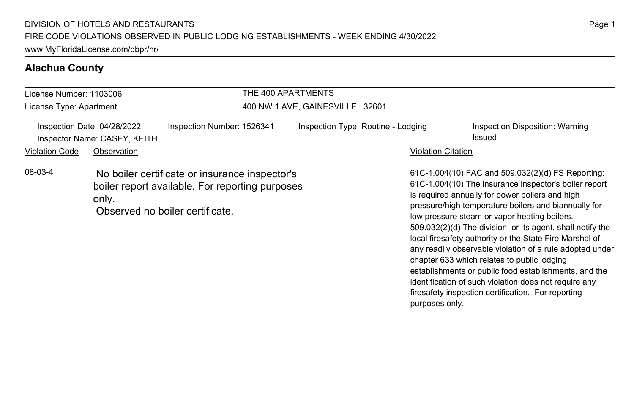# **Alachua County**

| License Number: 1103006 |                                                             |                                                                                                                                      | THE 400 APARTMENTS              |                                    |                                                                                                                                                                                                                                                                                                                                                                                                                                                                                                           |
|-------------------------|-------------------------------------------------------------|--------------------------------------------------------------------------------------------------------------------------------------|---------------------------------|------------------------------------|-----------------------------------------------------------------------------------------------------------------------------------------------------------------------------------------------------------------------------------------------------------------------------------------------------------------------------------------------------------------------------------------------------------------------------------------------------------------------------------------------------------|
| License Type: Apartment |                                                             |                                                                                                                                      | 400 NW 1 AVE, GAINESVILLE 32601 |                                    |                                                                                                                                                                                                                                                                                                                                                                                                                                                                                                           |
|                         | Inspection Date: 04/28/2022<br>Inspector Name: CASEY, KEITH | Inspection Number: 1526341                                                                                                           |                                 | Inspection Type: Routine - Lodging | Inspection Disposition: Warning<br>Issued                                                                                                                                                                                                                                                                                                                                                                                                                                                                 |
| <b>Violation Code</b>   | Observation                                                 |                                                                                                                                      |                                 | <b>Violation Citation</b>          |                                                                                                                                                                                                                                                                                                                                                                                                                                                                                                           |
| 08-03-4                 | only.                                                       | No boiler certificate or insurance inspector's<br>boiler report available. For reporting purposes<br>Observed no boiler certificate. |                                 |                                    | 61C-1.004(10) FAC and 509.032(2)(d) FS Reporting:<br>61C-1.004(10) The insurance inspector's boiler report<br>is required annually for power boilers and high<br>pressure/high temperature boilers and biannually for<br>low pressure steam or vapor heating boilers.<br>509.032(2)(d) The division, or its agent, shall notify the<br>local firesafety authority or the State Fire Marshal of<br>any readily observable violation of a rule adopted under<br>chapter 633 which relates to public lodging |

establishments or public food establishments, and the identification of such violation does not require any firesafety inspection certification. For reporting

purposes only.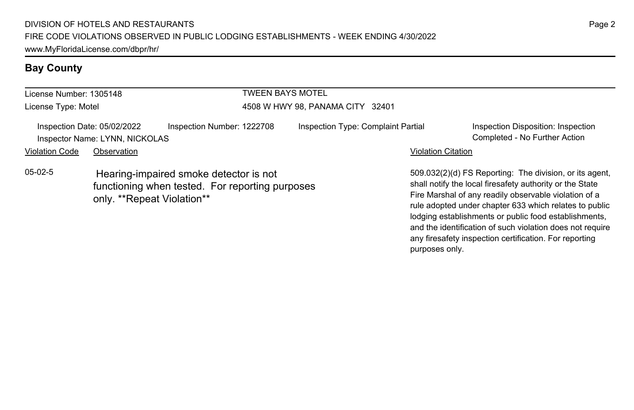# **Bay County**

| License Number: 1305148 |                                                               |                                                                                           | TWEEN BAYS MOTEL                 |                                    |                           |                                                                                                                                                                                                                                       |
|-------------------------|---------------------------------------------------------------|-------------------------------------------------------------------------------------------|----------------------------------|------------------------------------|---------------------------|---------------------------------------------------------------------------------------------------------------------------------------------------------------------------------------------------------------------------------------|
| License Type: Motel     |                                                               |                                                                                           | 4508 W HWY 98, PANAMA CITY 32401 |                                    |                           |                                                                                                                                                                                                                                       |
|                         | Inspection Date: 05/02/2022<br>Inspector Name: LYNN, NICKOLAS | Inspection Number: 1222708                                                                |                                  | Inspection Type: Complaint Partial |                           | Inspection Disposition: Inspection<br>Completed - No Further Action                                                                                                                                                                   |
| <b>Violation Code</b>   | Observation                                                   |                                                                                           |                                  |                                    | <b>Violation Citation</b> |                                                                                                                                                                                                                                       |
| $05-02-5$               | only. **Repeat Violation**                                    | Hearing-impaired smoke detector is not<br>functioning when tested. For reporting purposes |                                  |                                    |                           | 509.032(2)(d) FS Reporting: The division, or its agent<br>shall notify the local firesafety authority or the State<br>Fire Marshal of any readily observable violation of a<br>rule adopted under chapter 633 which relates to public |

509.032(2)(d) FS Reporting: The division, or its agent, rule adopted under chapter 633 which relates to public lodging establishments or public food establishments, and the identification of such violation does not require any firesafety inspection certification. For reporting purposes only.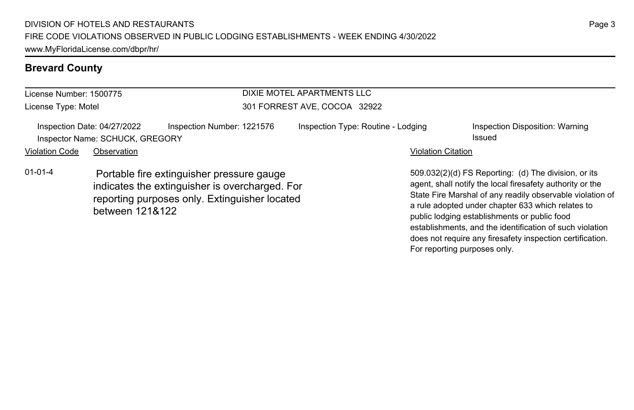# **Brevard County**

| License Number: 1500775 |                                                                |                                                                                                                                              | DIXIE MOTEL APARTMENTS LLC         |                                                                                                                                                                                                                                                                                     |  |  |
|-------------------------|----------------------------------------------------------------|----------------------------------------------------------------------------------------------------------------------------------------------|------------------------------------|-------------------------------------------------------------------------------------------------------------------------------------------------------------------------------------------------------------------------------------------------------------------------------------|--|--|
| License Type: Motel     |                                                                |                                                                                                                                              | 301 FORREST AVE, COCOA 32922       |                                                                                                                                                                                                                                                                                     |  |  |
|                         | Inspection Date: 04/27/2022<br>Inspector Name: SCHUCK, GREGORY | Inspection Number: 1221576                                                                                                                   | Inspection Type: Routine - Lodging | Inspection Disposition: Warning<br>Issued                                                                                                                                                                                                                                           |  |  |
| <b>Violation Code</b>   | Observation                                                    |                                                                                                                                              |                                    | <b>Violation Citation</b>                                                                                                                                                                                                                                                           |  |  |
| $01 - 01 - 4$           | between 121&122                                                | Portable fire extinguisher pressure gauge<br>indicates the extinguisher is overcharged. For<br>reporting purposes only. Extinguisher located |                                    | 509.032(2)(d) FS Reporting: (d) The division, or its<br>agent, shall notify the local firesafety authority or the<br>State Fire Marshal of any readily observable violation of<br>a rule adopted under chapter 633 which relates to<br>public lodging establishments or public food |  |  |

establishments, and the identification of such violation does not require any firesafety inspection certification.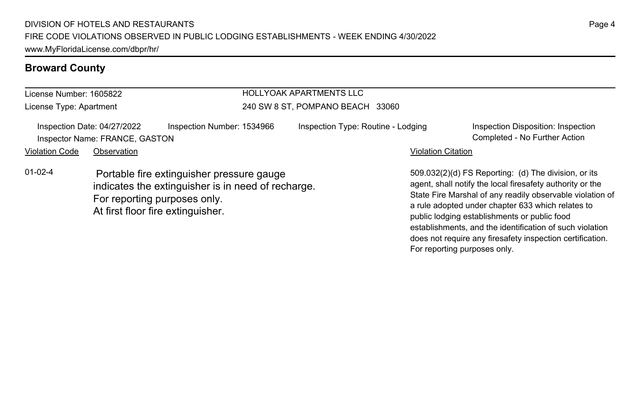# **Broward County**

| License Number: 1605822 |                                                               |                                                                                                                                                                      | <b>HOLLYOAK APARTMENTS LLC</b>     |                           |                                                                                                                                                                                                                                                                                     |  |
|-------------------------|---------------------------------------------------------------|----------------------------------------------------------------------------------------------------------------------------------------------------------------------|------------------------------------|---------------------------|-------------------------------------------------------------------------------------------------------------------------------------------------------------------------------------------------------------------------------------------------------------------------------------|--|
| License Type: Apartment |                                                               |                                                                                                                                                                      | 240 SW 8 ST, POMPANO BEACH 33060   |                           |                                                                                                                                                                                                                                                                                     |  |
|                         | Inspection Date: 04/27/2022<br>Inspector Name: FRANCE, GASTON | Inspection Number: 1534966                                                                                                                                           | Inspection Type: Routine - Lodging |                           | Inspection Disposition: Inspection<br>Completed - No Further Action                                                                                                                                                                                                                 |  |
| <b>Violation Code</b>   | Observation                                                   |                                                                                                                                                                      |                                    | <b>Violation Citation</b> |                                                                                                                                                                                                                                                                                     |  |
| $01-02-4$               |                                                               | Portable fire extinguisher pressure gauge<br>indicates the extinguisher is in need of recharge.<br>For reporting purposes only.<br>At first floor fire extinguisher. |                                    |                           | 509.032(2)(d) FS Reporting: (d) The division, or its<br>agent, shall notify the local firesafety authority or the<br>State Fire Marshal of any readily observable violation of<br>a rule adopted under chapter 633 which relates to<br>public lodging establishments or public food |  |

establishments, and the identification of such violation does not require any firesafety inspection certification.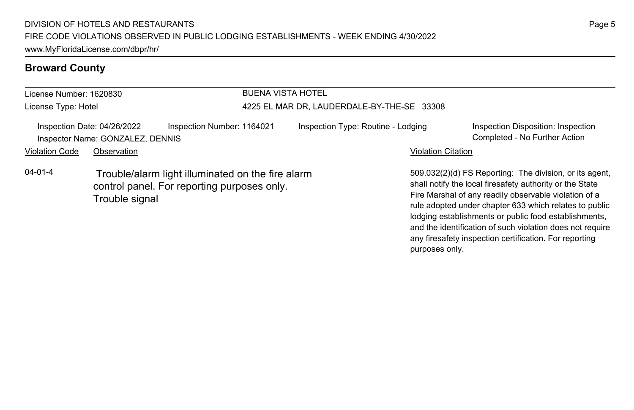# **Broward County**

| License Number: 1620830 |                                                                 |                                                                                                  | <b>BUENA VISTA HOTEL</b>                   |                           |                                                                                                                                                                                                                                                                                                 |  |
|-------------------------|-----------------------------------------------------------------|--------------------------------------------------------------------------------------------------|--------------------------------------------|---------------------------|-------------------------------------------------------------------------------------------------------------------------------------------------------------------------------------------------------------------------------------------------------------------------------------------------|--|
| License Type: Hotel     |                                                                 |                                                                                                  | 4225 EL MAR DR, LAUDERDALE-BY-THE-SE 33308 |                           |                                                                                                                                                                                                                                                                                                 |  |
|                         | Inspection Date: 04/26/2022<br>Inspector Name: GONZALEZ, DENNIS | Inspection Number: 1164021                                                                       | Inspection Type: Routine - Lodging         |                           | Inspection Disposition: Inspection<br>Completed - No Further Action                                                                                                                                                                                                                             |  |
| <b>Violation Code</b>   | Observation                                                     |                                                                                                  |                                            | <b>Violation Citation</b> |                                                                                                                                                                                                                                                                                                 |  |
| $04 - 01 - 4$           | Trouble signal                                                  | Trouble/alarm light illuminated on the fire alarm<br>control panel. For reporting purposes only. |                                            |                           | 509.032(2)(d) FS Reporting: The division, or its agent.<br>shall notify the local firesafety authority or the State<br>Fire Marshal of any readily observable violation of a<br>rule adopted under chapter 633 which relates to public<br>lodging establishments or public food establishments, |  |

Page 5

and the identification of such violation does not require any firesafety inspection certification. For reporting

purposes only.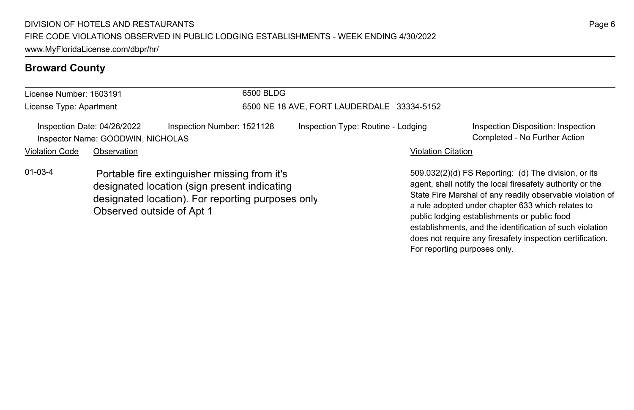# **Broward County**

| License Number: 1603191                                                                                                                                            |                                                                  |                            | 6500 BLDG                                  |                                                                                                                                                                                                                                     |                           |                                                                     |
|--------------------------------------------------------------------------------------------------------------------------------------------------------------------|------------------------------------------------------------------|----------------------------|--------------------------------------------|-------------------------------------------------------------------------------------------------------------------------------------------------------------------------------------------------------------------------------------|---------------------------|---------------------------------------------------------------------|
| License Type: Apartment                                                                                                                                            |                                                                  |                            | 6500 NE 18 AVE, FORT LAUDERDALE 33334-5152 |                                                                                                                                                                                                                                     |                           |                                                                     |
|                                                                                                                                                                    | Inspection Date: 04/26/2022<br>Inspector Name: GOODWIN, NICHOLAS | Inspection Number: 1521128 |                                            | Inspection Type: Routine - Lodging                                                                                                                                                                                                  |                           | Inspection Disposition: Inspection<br>Completed - No Further Action |
| <b>Violation Code</b>                                                                                                                                              | Observation                                                      |                            |                                            |                                                                                                                                                                                                                                     | <b>Violation Citation</b> |                                                                     |
| $01 - 03 - 4$<br>Portable fire extinguisher missing from it's<br>designated location (sign present indicating<br>designated location). For reporting purposes only |                                                                  |                            |                                            | 509.032(2)(d) FS Reporting: (d) The division, or its<br>agent, shall notify the local firesafety authority or the<br>State Fire Marshal of any readily observable violation of<br>a rule adopted under chapter 633 which relates to |                           |                                                                     |

Observed outside of Apt 1

State Fire Marshal of any readily observable violation of a rule adopted under chapter 633 which relates to public lodging establishments or public food establishments, and the identification of such violation does not require any firesafety inspection certification. For reporting purposes only.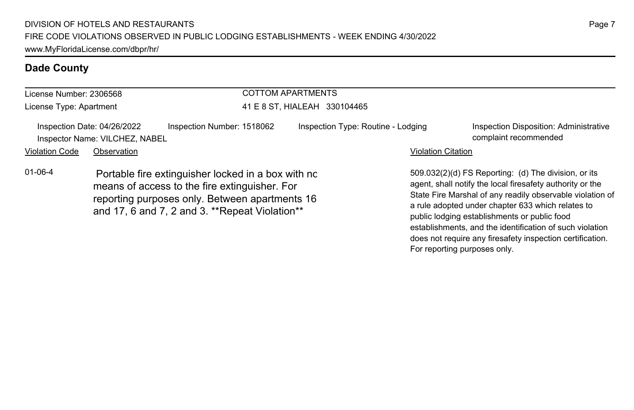| License Number: 2306568<br>License Type: Apartment |                                                               |                                                                                                                                                                                                         | <b>COTTOM APARTMENTS</b>           |                           |                                                                                                                                                                                                                                                                                                                                                 |  |
|----------------------------------------------------|---------------------------------------------------------------|---------------------------------------------------------------------------------------------------------------------------------------------------------------------------------------------------------|------------------------------------|---------------------------|-------------------------------------------------------------------------------------------------------------------------------------------------------------------------------------------------------------------------------------------------------------------------------------------------------------------------------------------------|--|
|                                                    |                                                               |                                                                                                                                                                                                         | 41 E 8 ST. HIALEAH 330104465       |                           |                                                                                                                                                                                                                                                                                                                                                 |  |
|                                                    | Inspection Date: 04/26/2022<br>Inspector Name: VILCHEZ, NABEL | Inspection Number: 1518062                                                                                                                                                                              | Inspection Type: Routine - Lodging |                           | Inspection Disposition: Administrative<br>complaint recommended                                                                                                                                                                                                                                                                                 |  |
| <b>Violation Code</b>                              | Observation                                                   |                                                                                                                                                                                                         |                                    | <b>Violation Citation</b> |                                                                                                                                                                                                                                                                                                                                                 |  |
| $01 - 06 - 4$                                      |                                                               | Portable fire extinguisher locked in a box with no<br>means of access to the fire extinguisher. For<br>reporting purposes only. Between apartments 16<br>and 17, 6 and 7, 2 and 3. **Repeat Violation** |                                    |                           | 509.032(2)(d) FS Reporting: (d) The division, or its<br>agent, shall notify the local firesafety authority or the<br>State Fire Marshal of any readily observable violation of<br>a rule adopted under chapter 633 which relates to<br>public lodging establishments or public food<br>establishments, and the identification of such violation |  |

does not require any firesafety inspection certification.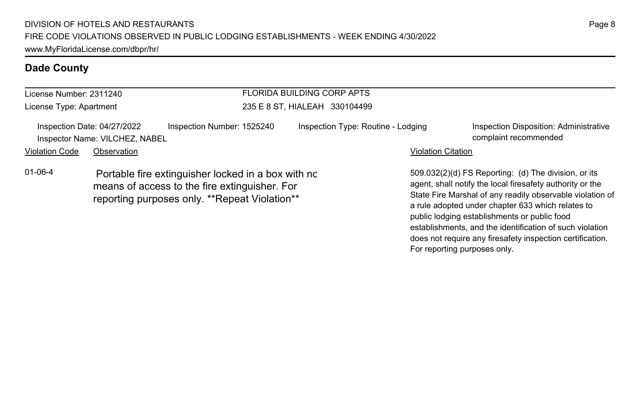| License Number: 2311240 |                                                               |                                                                                                                                                      | <b>FLORIDA BUILDING CORP APTS</b>  |                           |                                                                                                                                                                                                                                                                                                                                                                                                              |
|-------------------------|---------------------------------------------------------------|------------------------------------------------------------------------------------------------------------------------------------------------------|------------------------------------|---------------------------|--------------------------------------------------------------------------------------------------------------------------------------------------------------------------------------------------------------------------------------------------------------------------------------------------------------------------------------------------------------------------------------------------------------|
| License Type: Apartment |                                                               |                                                                                                                                                      | 235 E 8 ST. HIALEAH 330104499      |                           |                                                                                                                                                                                                                                                                                                                                                                                                              |
|                         | Inspection Date: 04/27/2022<br>Inspector Name: VILCHEZ, NABEL | Inspection Number: 1525240                                                                                                                           | Inspection Type: Routine - Lodging |                           | Inspection Disposition: Administrative<br>complaint recommended                                                                                                                                                                                                                                                                                                                                              |
| <b>Violation Code</b>   | Observation                                                   |                                                                                                                                                      |                                    | <b>Violation Citation</b> |                                                                                                                                                                                                                                                                                                                                                                                                              |
| $01 - 06 - 4$           |                                                               | Portable fire extinguisher locked in a box with no<br>means of access to the fire extinguisher. For<br>reporting purposes only. **Repeat Violation** |                                    |                           | 509.032(2)(d) FS Reporting: (d) The division, or its<br>agent, shall notify the local firesafety authority or the<br>State Fire Marshal of any readily observable violation of<br>a rule adopted under chapter 633 which relates to<br>public lodging establishments or public food<br>establishments, and the identification of such violation<br>does not require any firesafety inspection certification. |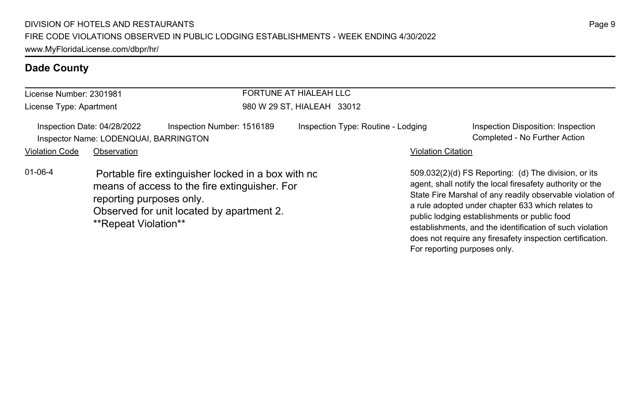| License Number: 2301981 |                                                                      |                                                                                                                                                  | FORTUNE AT HIALEAH LLC             |                           |                                                                                                                                                                                                                                                                                                                                                                                                              |  |  |
|-------------------------|----------------------------------------------------------------------|--------------------------------------------------------------------------------------------------------------------------------------------------|------------------------------------|---------------------------|--------------------------------------------------------------------------------------------------------------------------------------------------------------------------------------------------------------------------------------------------------------------------------------------------------------------------------------------------------------------------------------------------------------|--|--|
| License Type: Apartment |                                                                      |                                                                                                                                                  | 980 W 29 ST, HIALEAH 33012         |                           |                                                                                                                                                                                                                                                                                                                                                                                                              |  |  |
|                         | Inspection Date: 04/28/2022<br>Inspector Name: LODENQUAI, BARRINGTON | Inspection Number: 1516189                                                                                                                       | Inspection Type: Routine - Lodging |                           | Inspection Disposition: Inspection<br>Completed - No Further Action                                                                                                                                                                                                                                                                                                                                          |  |  |
| <b>Violation Code</b>   | Observation                                                          |                                                                                                                                                  |                                    | <b>Violation Citation</b> |                                                                                                                                                                                                                                                                                                                                                                                                              |  |  |
| $01 - 06 - 4$           | reporting purposes only.<br>**Repeat Violation**                     | Portable fire extinguisher locked in a box with no<br>means of access to the fire extinguisher. For<br>Observed for unit located by apartment 2. |                                    |                           | 509.032(2)(d) FS Reporting: (d) The division, or its<br>agent, shall notify the local firesafety authority or the<br>State Fire Marshal of any readily observable violation of<br>a rule adopted under chapter 633 which relates to<br>public lodging establishments or public food<br>establishments, and the identification of such violation<br>does not require any firesafety inspection certification. |  |  |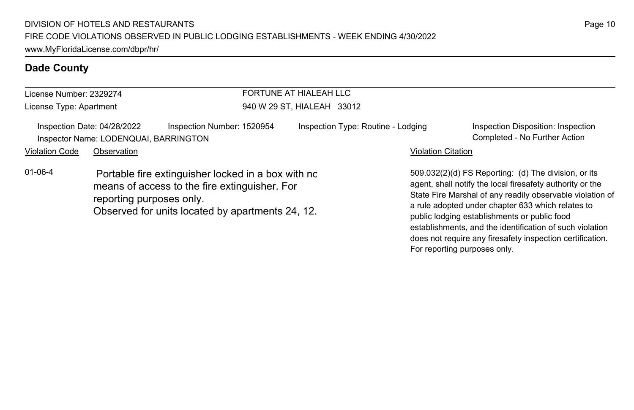| License Number: 2329274 |                                                                                     |                                                                                                                                                         | FORTUNE AT HIALEAH LLC             |                           |                                                                                                                                                                                                                                                                                                                                                 |  |  |
|-------------------------|-------------------------------------------------------------------------------------|---------------------------------------------------------------------------------------------------------------------------------------------------------|------------------------------------|---------------------------|-------------------------------------------------------------------------------------------------------------------------------------------------------------------------------------------------------------------------------------------------------------------------------------------------------------------------------------------------|--|--|
| License Type: Apartment |                                                                                     |                                                                                                                                                         | 940 W 29 ST, HIALEAH 33012         |                           |                                                                                                                                                                                                                                                                                                                                                 |  |  |
| <b>Violation Code</b>   | Inspection Date: 04/28/2022<br>Inspector Name: LODENQUAI, BARRINGTON<br>Observation | Inspection Number: 1520954                                                                                                                              | Inspection Type: Routine - Lodging | <b>Violation Citation</b> | Inspection Disposition: Inspection<br>Completed - No Further Action                                                                                                                                                                                                                                                                             |  |  |
| $01 - 06 - 4$           | reporting purposes only.                                                            | Portable fire extinguisher locked in a box with no<br>means of access to the fire extinguisher. For<br>Observed for units located by apartments 24, 12. |                                    |                           | 509.032(2)(d) FS Reporting: (d) The division, or its<br>agent, shall notify the local firesafety authority or the<br>State Fire Marshal of any readily observable violation of<br>a rule adopted under chapter 633 which relates to<br>public lodging establishments or public food<br>establishments, and the identification of such violation |  |  |

does not require any firesafety inspection certification.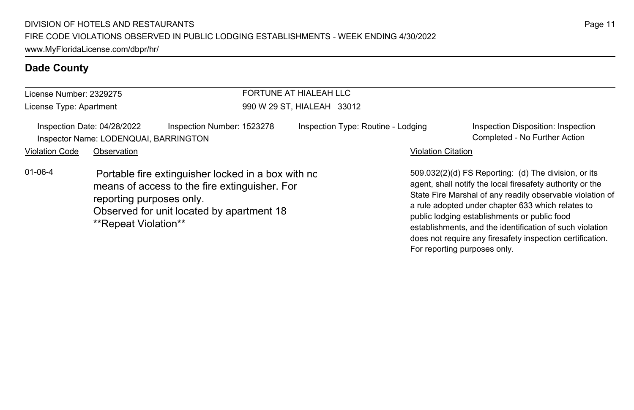| License Number: 2329275 |                                                                      |                                                                                                                                                  | FORTUNE AT HIALEAH LLC             |                           |                                                                                                                                                                                                                                                                                                                                                                                                              |  |  |
|-------------------------|----------------------------------------------------------------------|--------------------------------------------------------------------------------------------------------------------------------------------------|------------------------------------|---------------------------|--------------------------------------------------------------------------------------------------------------------------------------------------------------------------------------------------------------------------------------------------------------------------------------------------------------------------------------------------------------------------------------------------------------|--|--|
| License Type: Apartment |                                                                      |                                                                                                                                                  | 990 W 29 ST, HIALEAH 33012         |                           |                                                                                                                                                                                                                                                                                                                                                                                                              |  |  |
|                         | Inspection Date: 04/28/2022<br>Inspector Name: LODENQUAI, BARRINGTON | Inspection Number: 1523278                                                                                                                       | Inspection Type: Routine - Lodging |                           | Inspection Disposition: Inspection<br>Completed - No Further Action                                                                                                                                                                                                                                                                                                                                          |  |  |
| <b>Violation Code</b>   | Observation                                                          |                                                                                                                                                  |                                    | <b>Violation Citation</b> |                                                                                                                                                                                                                                                                                                                                                                                                              |  |  |
| $01 - 06 - 4$           | reporting purposes only.<br>**Repeat Violation**                     | Portable fire extinguisher locked in a box with no<br>means of access to the fire extinguisher. For<br>Observed for unit located by apartment 18 |                                    |                           | 509.032(2)(d) FS Reporting: (d) The division, or its<br>agent, shall notify the local firesafety authority or the<br>State Fire Marshal of any readily observable violation of<br>a rule adopted under chapter 633 which relates to<br>public lodging establishments or public food<br>establishments, and the identification of such violation<br>does not require any firesafety inspection certification. |  |  |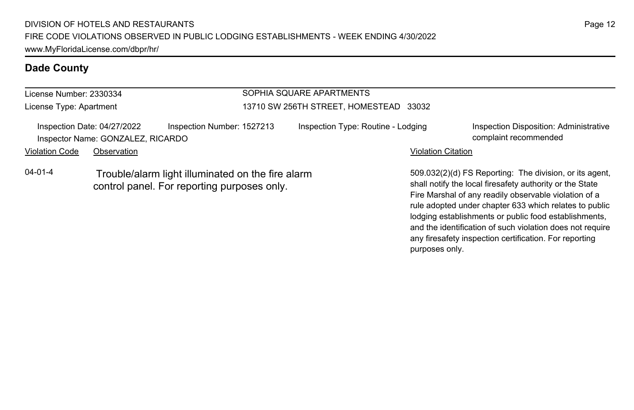#### License Number: 2330334 License Type: Apartment SOPHIA SQUARE APARTMENTS 13710 SW 256TH STREET, HOMESTEAD 33032 Inspection Date: 04/27/2022 Inspection Number: 1527213 Inspection Type: Routine - Lodging Inspection Disposition: Administrative Inspector Name: GONZALEZ, RICARDO complaint recommended Violation Code Observation **Violation Code Observation** Violation Citation Citation Citation Citation Citation Citation Citation Citation Citation Citation Citation Citation Citation Citation Citation Citation Citation Cit 509.032(2)(d) FS Reporting: The division, or its agent, shall notify the local firesafety authority or the State Fire Marshal of any readily observable violation of a 04-01-4 Trouble/alarm light illuminated on the fire alarm control panel. For reporting purposes only.

rule adopted under chapter 633 which relates to public lodging establishments or public food establishments, and the identification of such violation does not require any firesafety inspection certification. For reporting

purposes only.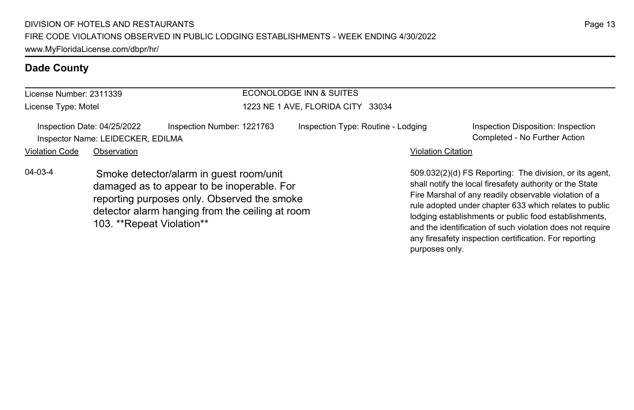| License Number: 2311339 |                                                                  |                                                                                                                                                                                         | ECONOLODGE INN & SUITES            |                                                                                                                                                                                                                                                                                                                                                              |
|-------------------------|------------------------------------------------------------------|-----------------------------------------------------------------------------------------------------------------------------------------------------------------------------------------|------------------------------------|--------------------------------------------------------------------------------------------------------------------------------------------------------------------------------------------------------------------------------------------------------------------------------------------------------------------------------------------------------------|
| License Type: Motel     |                                                                  | 1223 NE 1 AVE, FLORIDA CITY 33034                                                                                                                                                       |                                    |                                                                                                                                                                                                                                                                                                                                                              |
|                         | Inspection Date: 04/25/2022<br>Inspector Name: LEIDECKER, EDILMA | Inspection Number: 1221763                                                                                                                                                              | Inspection Type: Routine - Lodging | Inspection Disposition: Inspection<br>Completed - No Further Action                                                                                                                                                                                                                                                                                          |
| <b>Violation Code</b>   | Observation                                                      |                                                                                                                                                                                         | <b>Violation Citation</b>          |                                                                                                                                                                                                                                                                                                                                                              |
| $04 - 03 - 4$           | 103. **Repeat Violation**                                        | Smoke detector/alarm in guest room/unit<br>damaged as to appear to be inoperable. For<br>reporting purposes only. Observed the smoke<br>detector alarm hanging from the ceiling at room |                                    | 509.032(2)(d) FS Reporting: The division, or its agent,<br>shall notify the local firesafety authority or the State<br>Fire Marshal of any readily observable violation of a<br>rule adopted under chapter 633 which relates to public<br>lodging establishments or public food establishments,<br>and the identification of such violation does not require |

any firesafety inspection certification. For reporting

purposes only.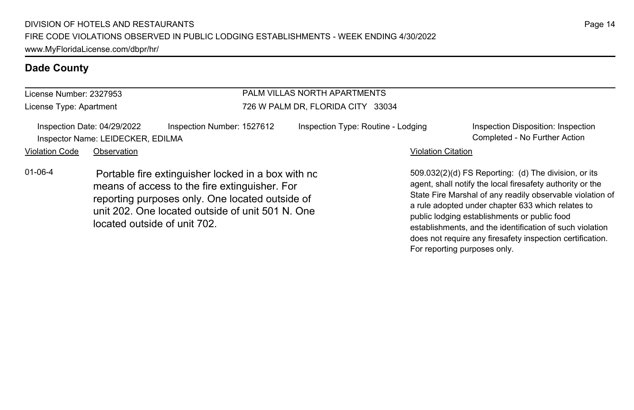#### License Number: 2327953 License Type: Apartment PALM VILLAS NORTH APARTMENTS 726 W PALM DR, FLORIDA CITY 33034 Inspection Date: 04/29/2022 Inspection Number: 1527612 Inspection Type: Routine - Lodging Inspection Disposition: Inspection Inspector Name: LEIDECKER, EDILMA Completed - No Further Action Violation Code Observation **Violation Code** Observation **Violation** Violation Citation Citation Citation Citation 509.032(2)(d) FS Reporting: (d) The division, or its agent, shall notify the local firesafety authority or the State Fire Marshal of any readily observable violation of a rule adopted under chapter 633 which relates to public lodging establishments or public food establishments, and the identification of such violation 01-06-4 Portable fire extinguisher locked in a box with no means of access to the fire extinguisher. For reporting purposes only. One located outside of unit 202. One located outside of unit 501 N. One located outside of unit 702.

does not require any firesafety inspection certification.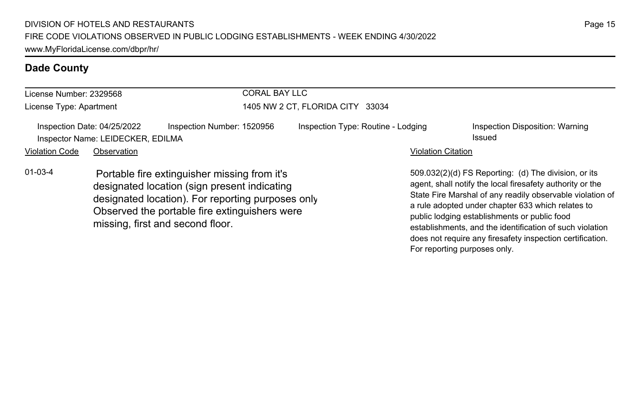| License Number: 2329568 |                                                                  |                                                                                                                                                                                                                                        | <b>CORAL BAY LLC</b>               |                           |                                                                                                                                                                                                                                                                                                                                                 |  |
|-------------------------|------------------------------------------------------------------|----------------------------------------------------------------------------------------------------------------------------------------------------------------------------------------------------------------------------------------|------------------------------------|---------------------------|-------------------------------------------------------------------------------------------------------------------------------------------------------------------------------------------------------------------------------------------------------------------------------------------------------------------------------------------------|--|
| License Type: Apartment |                                                                  |                                                                                                                                                                                                                                        | 1405 NW 2 CT, FLORIDA CITY 33034   |                           |                                                                                                                                                                                                                                                                                                                                                 |  |
|                         | Inspection Date: 04/25/2022<br>Inspector Name: LEIDECKER, EDILMA | Inspection Number: 1520956                                                                                                                                                                                                             | Inspection Type: Routine - Lodging |                           | Inspection Disposition: Warning<br>Issued                                                                                                                                                                                                                                                                                                       |  |
| <b>Violation Code</b>   | Observation                                                      |                                                                                                                                                                                                                                        |                                    | <b>Violation Citation</b> |                                                                                                                                                                                                                                                                                                                                                 |  |
| $01 - 03 - 4$           |                                                                  | Portable fire extinguisher missing from it's<br>designated location (sign present indicating<br>designated location). For reporting purposes only<br>Observed the portable fire extinguishers were<br>missing, first and second floor. |                                    |                           | 509.032(2)(d) FS Reporting: (d) The division, or its<br>agent, shall notify the local firesafety authority or the<br>State Fire Marshal of any readily observable violation of<br>a rule adopted under chapter 633 which relates to<br>public lodging establishments or public food<br>establishments, and the identification of such violation |  |

does not require any firesafety inspection certification.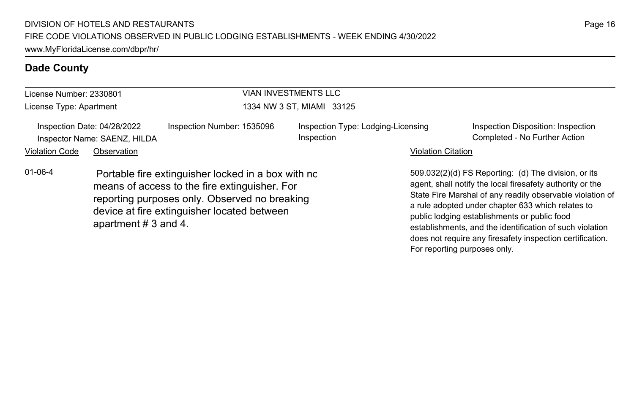| License Number: 2330801                                     |                     |                                                                                                                                                                                                     | <b>VIAN INVESTMENTS LLC</b>                      |                           |                                                                                                                                                                                                                                                                                                                                                                                                                                              |  |  |
|-------------------------------------------------------------|---------------------|-----------------------------------------------------------------------------------------------------------------------------------------------------------------------------------------------------|--------------------------------------------------|---------------------------|----------------------------------------------------------------------------------------------------------------------------------------------------------------------------------------------------------------------------------------------------------------------------------------------------------------------------------------------------------------------------------------------------------------------------------------------|--|--|
| License Type: Apartment                                     |                     |                                                                                                                                                                                                     | 1334 NW 3 ST, MIAMI 33125                        |                           |                                                                                                                                                                                                                                                                                                                                                                                                                                              |  |  |
| Inspection Date: 04/28/2022<br>Inspector Name: SAENZ, HILDA |                     | Inspection Number: 1535096                                                                                                                                                                          | Inspection Type: Lodging-Licensing<br>Inspection |                           | Inspection Disposition: Inspection<br>Completed - No Further Action                                                                                                                                                                                                                                                                                                                                                                          |  |  |
| <b>Violation Code</b>                                       | Observation         |                                                                                                                                                                                                     |                                                  | <b>Violation Citation</b> |                                                                                                                                                                                                                                                                                                                                                                                                                                              |  |  |
| $01 - 06 - 4$                                               | apartment #3 and 4. | Portable fire extinguisher locked in a box with no<br>means of access to the fire extinguisher. For<br>reporting purposes only. Observed no breaking<br>device at fire extinguisher located between |                                                  |                           | 509.032(2)(d) FS Reporting: (d) The division, or its<br>agent, shall notify the local firesafety authority or the<br>State Fire Marshal of any readily observable violation of<br>a rule adopted under chapter 633 which relates to<br>public lodging establishments or public food<br>establishments, and the identification of such violation<br>does not require any firesafety inspection certification.<br>For reporting purposes only. |  |  |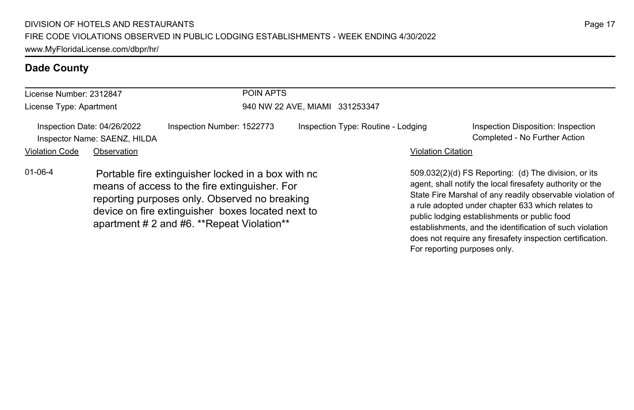| License Number: 2312847 |                                                             |                                                                                                                                                                                                                                                         | <b>POIN APTS</b><br>940 NW 22 AVE, MIAMI 331253347 |                           |                                                                                                                                                                                                                                                                                                                                                                                                              |  |  |
|-------------------------|-------------------------------------------------------------|---------------------------------------------------------------------------------------------------------------------------------------------------------------------------------------------------------------------------------------------------------|----------------------------------------------------|---------------------------|--------------------------------------------------------------------------------------------------------------------------------------------------------------------------------------------------------------------------------------------------------------------------------------------------------------------------------------------------------------------------------------------------------------|--|--|
| License Type: Apartment |                                                             |                                                                                                                                                                                                                                                         |                                                    |                           |                                                                                                                                                                                                                                                                                                                                                                                                              |  |  |
|                         | Inspection Date: 04/26/2022<br>Inspector Name: SAENZ, HILDA | Inspection Number: 1522773                                                                                                                                                                                                                              | Inspection Type: Routine - Lodging                 |                           | Inspection Disposition: Inspection<br>Completed - No Further Action                                                                                                                                                                                                                                                                                                                                          |  |  |
| <b>Violation Code</b>   | Observation                                                 |                                                                                                                                                                                                                                                         |                                                    | <b>Violation Citation</b> |                                                                                                                                                                                                                                                                                                                                                                                                              |  |  |
| $01 - 06 - 4$           |                                                             | Portable fire extinguisher locked in a box with no<br>means of access to the fire extinguisher. For<br>reporting purposes only. Observed no breaking<br>device on fire extinguisher boxes located next to<br>apartment # 2 and #6. **Repeat Violation** |                                                    |                           | 509.032(2)(d) FS Reporting: (d) The division, or its<br>agent, shall notify the local firesafety authority or the<br>State Fire Marshal of any readily observable violation of<br>a rule adopted under chapter 633 which relates to<br>public lodging establishments or public food<br>establishments, and the identification of such violation<br>does not require any firesafety inspection certification. |  |  |

For reporting purposes only.

Page 17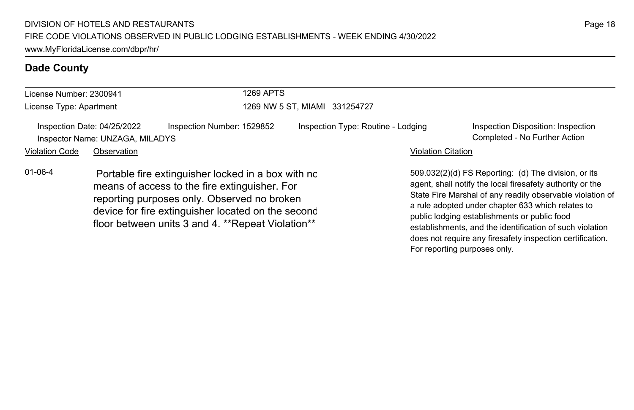| License Number: 2300941 |                                                                | 1269 APTS                                                                                                                                                                                                                                                     |                                    |                           |                                                                                                                                                                                                                                                                                                                                                 |  |  |
|-------------------------|----------------------------------------------------------------|---------------------------------------------------------------------------------------------------------------------------------------------------------------------------------------------------------------------------------------------------------------|------------------------------------|---------------------------|-------------------------------------------------------------------------------------------------------------------------------------------------------------------------------------------------------------------------------------------------------------------------------------------------------------------------------------------------|--|--|
| License Type: Apartment |                                                                |                                                                                                                                                                                                                                                               | 1269 NW 5 ST. MIAMI 331254727      |                           |                                                                                                                                                                                                                                                                                                                                                 |  |  |
|                         | Inspection Date: 04/25/2022<br>Inspector Name: UNZAGA, MILADYS | Inspection Number: 1529852                                                                                                                                                                                                                                    | Inspection Type: Routine - Lodging |                           | Inspection Disposition: Inspection<br>Completed - No Further Action                                                                                                                                                                                                                                                                             |  |  |
| <b>Violation Code</b>   | Observation                                                    |                                                                                                                                                                                                                                                               |                                    | <b>Violation Citation</b> |                                                                                                                                                                                                                                                                                                                                                 |  |  |
| $01 - 06 - 4$           |                                                                | Portable fire extinguisher locked in a box with no<br>means of access to the fire extinguisher. For<br>reporting purposes only. Observed no broken<br>device for fire extinguisher located on the second<br>floor between units 3 and 4. **Repeat Violation** |                                    |                           | 509.032(2)(d) FS Reporting: (d) The division, or its<br>agent, shall notify the local firesafety authority or the<br>State Fire Marshal of any readily observable violation of<br>a rule adopted under chapter 633 which relates to<br>public lodging establishments or public food<br>establishments, and the identification of such violation |  |  |

Page 18

does not require any firesafety inspection certification.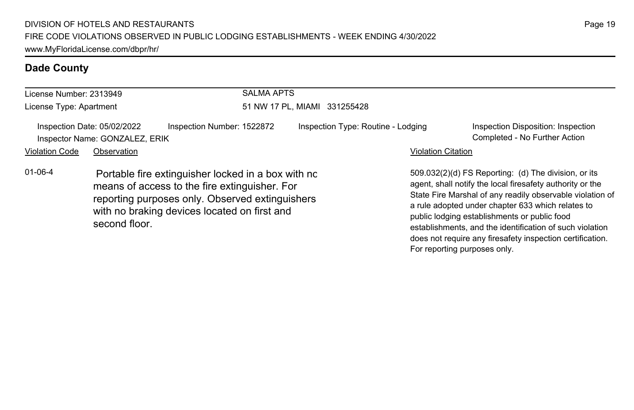| License Number: 2313949 |                                                               |                                                                                                                                                                                                        | <b>SALMA APTS</b>            |                                    |                           |                                                                                                                                                                                                                                                                                                                                                                                                              |  |  |
|-------------------------|---------------------------------------------------------------|--------------------------------------------------------------------------------------------------------------------------------------------------------------------------------------------------------|------------------------------|------------------------------------|---------------------------|--------------------------------------------------------------------------------------------------------------------------------------------------------------------------------------------------------------------------------------------------------------------------------------------------------------------------------------------------------------------------------------------------------------|--|--|
| License Type: Apartment |                                                               |                                                                                                                                                                                                        | 51 NW 17 PL, MIAMI 331255428 |                                    |                           |                                                                                                                                                                                                                                                                                                                                                                                                              |  |  |
|                         | Inspection Date: 05/02/2022<br>Inspector Name: GONZALEZ, ERIK | Inspection Number: 1522872                                                                                                                                                                             |                              | Inspection Type: Routine - Lodging |                           | Inspection Disposition: Inspection<br>Completed - No Further Action                                                                                                                                                                                                                                                                                                                                          |  |  |
| <b>Violation Code</b>   | Observation                                                   |                                                                                                                                                                                                        |                              |                                    | <b>Violation Citation</b> |                                                                                                                                                                                                                                                                                                                                                                                                              |  |  |
| $01 - 06 - 4$           | second floor.                                                 | Portable fire extinguisher locked in a box with no<br>means of access to the fire extinguisher. For<br>reporting purposes only. Observed extinguishers<br>with no braking devices located on first and |                              |                                    |                           | 509.032(2)(d) FS Reporting: (d) The division, or its<br>agent, shall notify the local firesafety authority or the<br>State Fire Marshal of any readily observable violation of<br>a rule adopted under chapter 633 which relates to<br>public lodging establishments or public food<br>establishments, and the identification of such violation<br>does not require any firesafety inspection certification. |  |  |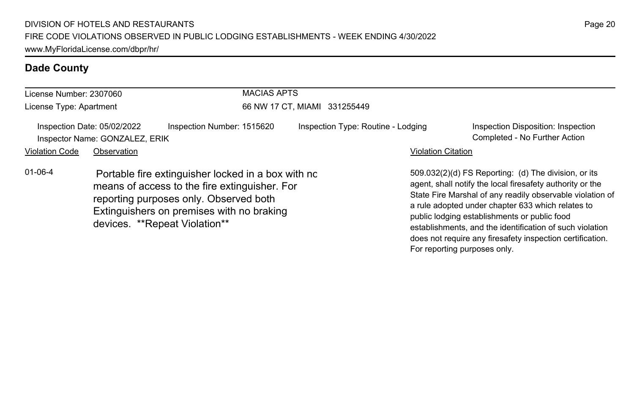| License Number: 2307060 |                                                               |                                                                                                                                                                                                                             | <b>MACIAS APTS</b>           |                                    |                           |                                                                                                                                                                                                                                                                                                                                                                                                              |  |
|-------------------------|---------------------------------------------------------------|-----------------------------------------------------------------------------------------------------------------------------------------------------------------------------------------------------------------------------|------------------------------|------------------------------------|---------------------------|--------------------------------------------------------------------------------------------------------------------------------------------------------------------------------------------------------------------------------------------------------------------------------------------------------------------------------------------------------------------------------------------------------------|--|
| License Type: Apartment |                                                               |                                                                                                                                                                                                                             | 66 NW 17 CT, MIAMI 331255449 |                                    |                           |                                                                                                                                                                                                                                                                                                                                                                                                              |  |
|                         | Inspection Date: 05/02/2022<br>Inspector Name: GONZALEZ, ERIK | Inspection Number: 1515620                                                                                                                                                                                                  |                              | Inspection Type: Routine - Lodging |                           | Inspection Disposition: Inspection<br>Completed - No Further Action                                                                                                                                                                                                                                                                                                                                          |  |
| <b>Violation Code</b>   | Observation                                                   |                                                                                                                                                                                                                             |                              |                                    | <b>Violation Citation</b> |                                                                                                                                                                                                                                                                                                                                                                                                              |  |
| $01 - 06 - 4$           |                                                               | Portable fire extinguisher locked in a box with nc<br>means of access to the fire extinguisher. For<br>reporting purposes only. Observed both<br>Extinguishers on premises with no braking<br>devices. **Repeat Violation** |                              |                                    |                           | 509.032(2)(d) FS Reporting: (d) The division, or its<br>agent, shall notify the local firesafety authority or the<br>State Fire Marshal of any readily observable violation of<br>a rule adopted under chapter 633 which relates to<br>public lodging establishments or public food<br>establishments, and the identification of such violation<br>does not require any firesafety inspection certification. |  |

```
Page 20
```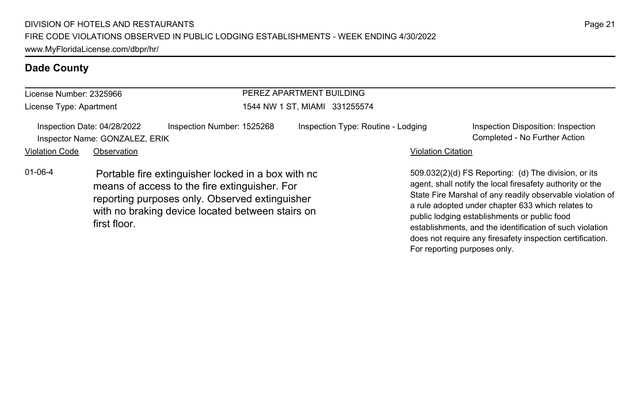| License Number: 2325966 |                                                               |                                                                                                                                                                                                           | PEREZ APARTMENT BUILDING      |                                    |                           |                                                                                                                                                                                                                                                                                                                                                                                                              |  |
|-------------------------|---------------------------------------------------------------|-----------------------------------------------------------------------------------------------------------------------------------------------------------------------------------------------------------|-------------------------------|------------------------------------|---------------------------|--------------------------------------------------------------------------------------------------------------------------------------------------------------------------------------------------------------------------------------------------------------------------------------------------------------------------------------------------------------------------------------------------------------|--|
| License Type: Apartment |                                                               |                                                                                                                                                                                                           | 1544 NW 1 ST. MIAMI 331255574 |                                    |                           |                                                                                                                                                                                                                                                                                                                                                                                                              |  |
|                         | Inspection Date: 04/28/2022<br>Inspector Name: GONZALEZ, ERIK | Inspection Number: 1525268                                                                                                                                                                                |                               | Inspection Type: Routine - Lodging |                           | Inspection Disposition: Inspection<br>Completed - No Further Action                                                                                                                                                                                                                                                                                                                                          |  |
| <b>Violation Code</b>   | Observation                                                   |                                                                                                                                                                                                           |                               |                                    | <b>Violation Citation</b> |                                                                                                                                                                                                                                                                                                                                                                                                              |  |
| $01 - 06 - 4$           | first floor.                                                  | Portable fire extinguisher locked in a box with no<br>means of access to the fire extinguisher. For<br>reporting purposes only. Observed extinguisher<br>with no braking device located between stairs on |                               |                                    |                           | 509.032(2)(d) FS Reporting: (d) The division, or its<br>agent, shall notify the local firesafety authority or the<br>State Fire Marshal of any readily observable violation of<br>a rule adopted under chapter 633 which relates to<br>public lodging establishments or public food<br>establishments, and the identification of such violation<br>does not require any firesafety inspection certification. |  |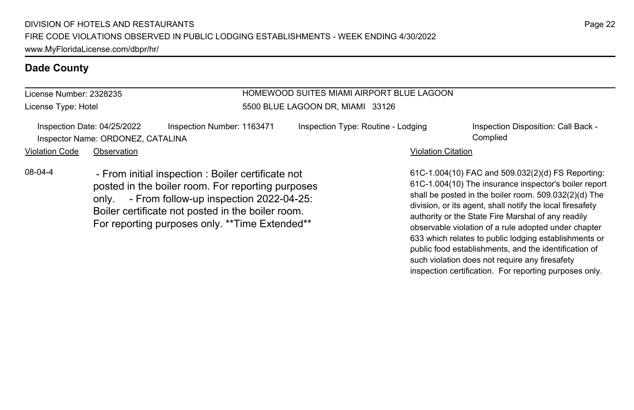License Number: 2328235 License Type: Hotel

#### HOMEWOOD SUITES MIAMI AIRPORT BLUE LAGOON 5500 BLUE LAGOON DR, MIAMI 33126

|                | Inspection Date: 04/25/2022       | Inspection Number: 1163471 | Inspection Type: Routine - Lodging | Inspection Disposition: Call Back - |
|----------------|-----------------------------------|----------------------------|------------------------------------|-------------------------------------|
|                | Inspector Name: ORDONEZ, CATALINA |                            |                                    | Complied                            |
| Violation Code | Observation                       |                            | <b>Violation Citation</b>          |                                     |

08-04-4 - From initial inspection : Boiler certificate not posted in the boiler room. For reporting purposes only. - From follow-up inspection 2022-04-25: Boiler certificate not posted in the boiler room. For reporting purposes only. \*\*Time Extended\*\*

61C-1.004(10) FAC and 509.032(2)(d) FS Reporting: 61C-1.004(10) The insurance inspector's boiler report shall be posted in the boiler room. 509.032(2)(d) The division, or its agent, shall notify the local firesafety authority or the State Fire Marshal of any readily observable violation of a rule adopted under chapter 633 which relates to public lodging establishments or public food establishments, and the identification of such violation does not require any firesafety inspection certification. For reporting purposes only.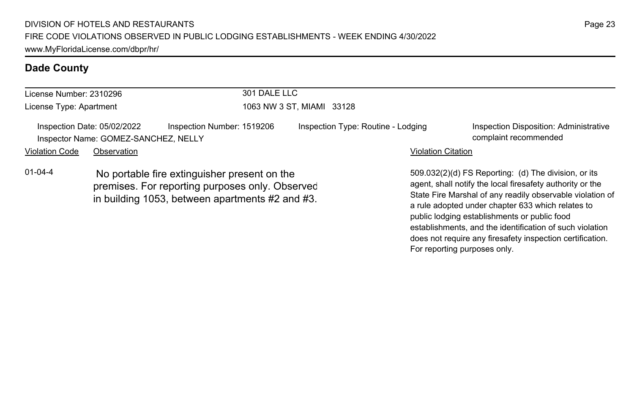| License Number: 2310296                                                                                                                                             |             | 301 DALE LLC               |                                    |                           |                                                                                                                                                                                                  |  |
|---------------------------------------------------------------------------------------------------------------------------------------------------------------------|-------------|----------------------------|------------------------------------|---------------------------|--------------------------------------------------------------------------------------------------------------------------------------------------------------------------------------------------|--|
| License Type: Apartment                                                                                                                                             |             |                            | 1063 NW 3 ST, MIAMI 33128          |                           |                                                                                                                                                                                                  |  |
| Inspection Date: 05/02/2022<br>Inspector Name: GOMEZ-SANCHEZ, NELLY                                                                                                 |             | Inspection Number: 1519206 | Inspection Type: Routine - Lodging |                           | Inspection Disposition: Administrative<br>complaint recommended                                                                                                                                  |  |
| <b>Violation Code</b>                                                                                                                                               | Observation |                            |                                    | <b>Violation Citation</b> |                                                                                                                                                                                                  |  |
| $01 - 04 - 4$<br>No portable fire extinguisher present on the<br>premises. For reporting purposes only. Observed<br>in building 1053, between apartments #2 and #3. |             |                            |                                    |                           | 509.032(2)(d) FS Reporting: (d) The division, or its<br>agent, shall notify the local firesafety authority or the<br>State Fire Marshal of any readily observable violation of<br>$\blacksquare$ |  |

State Fire Marshal of any readily observable violation of a rule adopted under chapter 633 which relates to public lodging establishments or public food establishments, and the identification of such violation

does not require any firesafety inspection certification.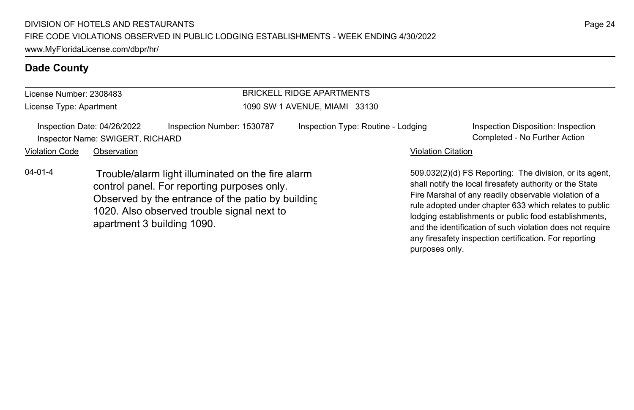| License Number: 2308483 |                                                                 |                                                                                                                                                                                                                                   | <b>BRICKELL RIDGE APARTMENTS</b>   |                           |                                                                                                                                                                                                                                                                                                                                                              |
|-------------------------|-----------------------------------------------------------------|-----------------------------------------------------------------------------------------------------------------------------------------------------------------------------------------------------------------------------------|------------------------------------|---------------------------|--------------------------------------------------------------------------------------------------------------------------------------------------------------------------------------------------------------------------------------------------------------------------------------------------------------------------------------------------------------|
| License Type: Apartment |                                                                 |                                                                                                                                                                                                                                   | 1090 SW 1 AVENUE, MIAMI 33130      |                           |                                                                                                                                                                                                                                                                                                                                                              |
|                         | Inspection Date: 04/26/2022<br>Inspector Name: SWIGERT, RICHARD | Inspection Number: 1530787                                                                                                                                                                                                        | Inspection Type: Routine - Lodging |                           | Inspection Disposition: Inspection<br>Completed - No Further Action                                                                                                                                                                                                                                                                                          |
| <b>Violation Code</b>   | Observation                                                     |                                                                                                                                                                                                                                   |                                    | <b>Violation Citation</b> |                                                                                                                                                                                                                                                                                                                                                              |
| $04 - 01 - 4$           |                                                                 | Trouble/alarm light illuminated on the fire alarm<br>control panel. For reporting purposes only.<br>Observed by the entrance of the patio by building<br>1020. Also observed trouble signal next to<br>apartment 3 building 1090. |                                    |                           | 509.032(2)(d) FS Reporting: The division, or its agent,<br>shall notify the local firesafety authority or the State<br>Fire Marshal of any readily observable violation of a<br>rule adopted under chapter 633 which relates to public<br>lodging establishments or public food establishments,<br>and the identification of such violation does not require |

any firesafety inspection certification. For reporting

purposes only.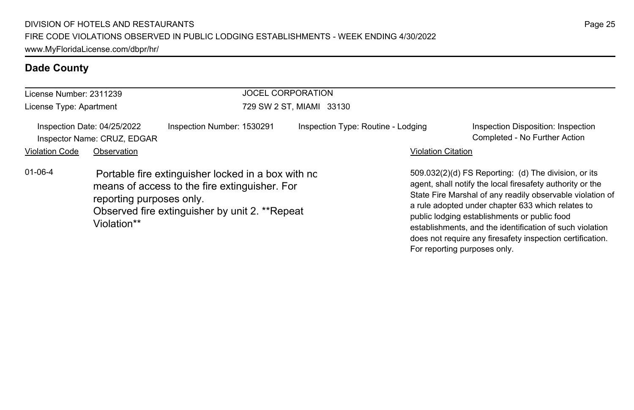| License Number: 2311239 |                                                            |                                                                                                                                                       | <b>JOCEL CORPORATION</b>           |                           |                                                                                                                                                                                                                                                                                                                                                                                                                                              |  |  |
|-------------------------|------------------------------------------------------------|-------------------------------------------------------------------------------------------------------------------------------------------------------|------------------------------------|---------------------------|----------------------------------------------------------------------------------------------------------------------------------------------------------------------------------------------------------------------------------------------------------------------------------------------------------------------------------------------------------------------------------------------------------------------------------------------|--|--|
| License Type: Apartment |                                                            |                                                                                                                                                       | 729 SW 2 ST, MIAMI 33130           |                           |                                                                                                                                                                                                                                                                                                                                                                                                                                              |  |  |
|                         | Inspection Date: 04/25/2022<br>Inspector Name: CRUZ, EDGAR | Inspection Number: 1530291                                                                                                                            | Inspection Type: Routine - Lodging |                           | Inspection Disposition: Inspection<br>Completed - No Further Action                                                                                                                                                                                                                                                                                                                                                                          |  |  |
| <b>Violation Code</b>   | Observation                                                |                                                                                                                                                       |                                    | <b>Violation Citation</b> |                                                                                                                                                                                                                                                                                                                                                                                                                                              |  |  |
| $01 - 06 - 4$           | reporting purposes only.<br>Violation**                    | Portable fire extinguisher locked in a box with no<br>means of access to the fire extinguisher. For<br>Observed fire extinguisher by unit 2. **Repeat |                                    |                           | 509.032(2)(d) FS Reporting: (d) The division, or its<br>agent, shall notify the local firesafety authority or the<br>State Fire Marshal of any readily observable violation of<br>a rule adopted under chapter 633 which relates to<br>public lodging establishments or public food<br>establishments, and the identification of such violation<br>does not require any firesafety inspection certification.<br>For reporting purposes only. |  |  |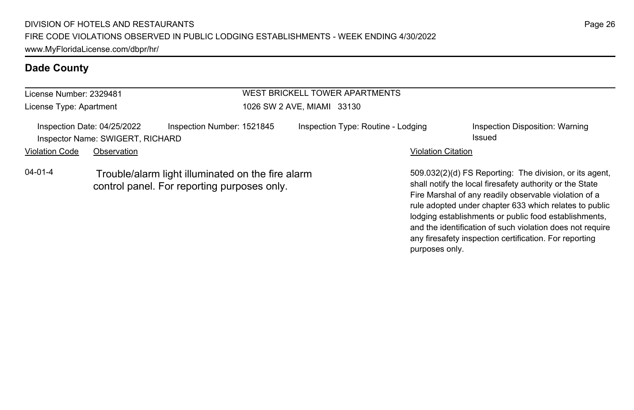| License Number: 2329481 |                                                                 |                                                                                                  | WEST BRICKELL TOWER APARTMENTS     |                           |                                                                                                                                                                              |
|-------------------------|-----------------------------------------------------------------|--------------------------------------------------------------------------------------------------|------------------------------------|---------------------------|------------------------------------------------------------------------------------------------------------------------------------------------------------------------------|
| License Type: Apartment |                                                                 |                                                                                                  | 1026 SW 2 AVE, MIAMI 33130         |                           |                                                                                                                                                                              |
|                         | Inspection Date: 04/25/2022<br>Inspector Name: SWIGERT, RICHARD | Inspection Number: 1521845                                                                       | Inspection Type: Routine - Lodging |                           | Inspection Disposition: Warning<br>Issued                                                                                                                                    |
| <b>Violation Code</b>   | Observation                                                     |                                                                                                  |                                    | <b>Violation Citation</b> |                                                                                                                                                                              |
| $04 - 01 - 4$           |                                                                 | Trouble/alarm light illuminated on the fire alarm<br>control panel. For reporting purposes only. |                                    |                           | 509.032(2)(d) FS Reporting: The division, or its agent,<br>shall notify the local firesafety authority or the State<br>Fire Marshal of any readily observable violation of a |

rule adopted under chapter 633 which relates to public lodging establishments or public food establishments, and the identification of such violation does not require any firesafety inspection certification. For reporting purposes only.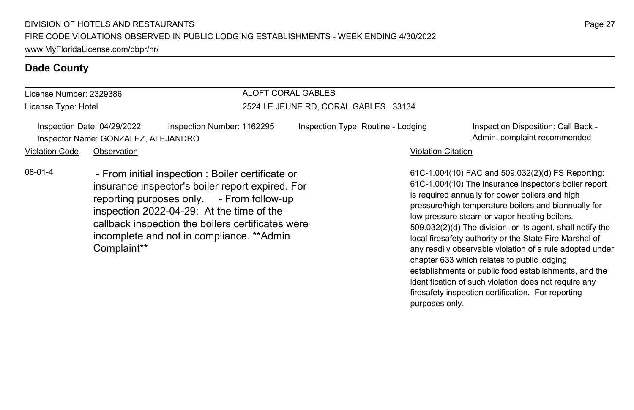| License Number: 2329386<br>License Type: Hotel                                                                   |             |  | ALOFT CORAL GABLES<br>2524 LE JEUNE RD, CORAL GABLES 33134 |  |                           |                                                                                                         |  |
|------------------------------------------------------------------------------------------------------------------|-------------|--|------------------------------------------------------------|--|---------------------------|---------------------------------------------------------------------------------------------------------|--|
|                                                                                                                  |             |  |                                                            |  |                           |                                                                                                         |  |
| Violation Code                                                                                                   | Observation |  |                                                            |  | <b>Violation Citation</b> |                                                                                                         |  |
| 08-01-4<br>- From initial inspection : Boiler certificate or<br>insurance inspector's boiler report expired. For |             |  |                                                            |  |                           | 61C-1.004(10) FAC and 509.032(2)(d) FS Reporting<br>61C-1.004(10) The insurance inspector's boiler repo |  |

aince inspector's boiler report expire reporting purposes only. - From follow-up inspection 2022-04-29: At the time of the callback inspection the boilers certificates were incomplete and not in compliance. \*\*Admin Complaint\*\*

orting: r report is required annually for power boilers and high pressure/high temperature boilers and biannually for low pressure steam or vapor heating boilers. 509.032(2)(d) The division, or its agent, shall notify the local firesafety authority or the State Fire Marshal of any readily observable violation of a rule adopted under chapter 633 which relates to public lodging establishments or public food establishments, and the identification of such violation does not require any firesafety inspection certification. For reporting purposes only.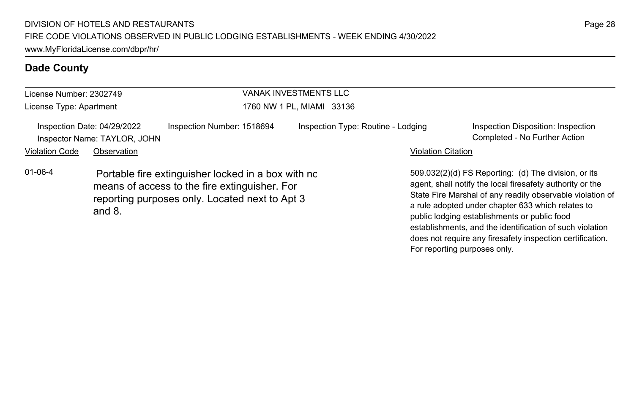| License Number: 2302749 |                                                             |                                                                                                                                                       |                           | <b>VANAK INVESTMENTS LLC</b>       |                              |                                                                                                                                                                                                                                                                                                                                                                                                              |  |
|-------------------------|-------------------------------------------------------------|-------------------------------------------------------------------------------------------------------------------------------------------------------|---------------------------|------------------------------------|------------------------------|--------------------------------------------------------------------------------------------------------------------------------------------------------------------------------------------------------------------------------------------------------------------------------------------------------------------------------------------------------------------------------------------------------------|--|
| License Type: Apartment |                                                             |                                                                                                                                                       | 1760 NW 1 PL, MIAMI 33136 |                                    |                              |                                                                                                                                                                                                                                                                                                                                                                                                              |  |
|                         | Inspection Date: 04/29/2022<br>Inspector Name: TAYLOR, JOHN | Inspection Number: 1518694                                                                                                                            |                           | Inspection Type: Routine - Lodging |                              | Inspection Disposition: Inspection<br>Completed - No Further Action                                                                                                                                                                                                                                                                                                                                          |  |
| <b>Violation Code</b>   | Observation                                                 |                                                                                                                                                       |                           |                                    | <b>Violation Citation</b>    |                                                                                                                                                                                                                                                                                                                                                                                                              |  |
| $01 - 06 - 4$           | and $8$ .                                                   | Portable fire extinguisher locked in a box with no<br>means of access to the fire extinguisher. For<br>reporting purposes only. Located next to Apt 3 |                           |                                    | For reporting purposes only. | 509.032(2)(d) FS Reporting: (d) The division, or its<br>agent, shall notify the local firesafety authority or the<br>State Fire Marshal of any readily observable violation of<br>a rule adopted under chapter 633 which relates to<br>public lodging establishments or public food<br>establishments, and the identification of such violation<br>does not require any firesafety inspection certification. |  |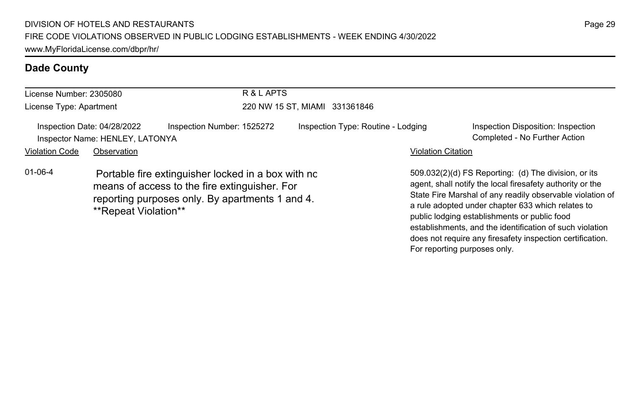| License Number: 2305080<br>License Type: Apartment             |                                                                                                                                                                                | R & L APTS                 |                               |                                    |                           |                                                                                                                                                                                                                                                                                                                                                                                                              |
|----------------------------------------------------------------|--------------------------------------------------------------------------------------------------------------------------------------------------------------------------------|----------------------------|-------------------------------|------------------------------------|---------------------------|--------------------------------------------------------------------------------------------------------------------------------------------------------------------------------------------------------------------------------------------------------------------------------------------------------------------------------------------------------------------------------------------------------------|
|                                                                |                                                                                                                                                                                |                            | 220 NW 15 ST, MIAMI 331361846 |                                    |                           |                                                                                                                                                                                                                                                                                                                                                                                                              |
| Inspection Date: 04/28/2022<br>Inspector Name: HENLEY, LATONYA |                                                                                                                                                                                | Inspection Number: 1525272 |                               | Inspection Type: Routine - Lodging |                           | Inspection Disposition: Inspection<br>Completed - No Further Action                                                                                                                                                                                                                                                                                                                                          |
| <b>Violation Code</b>                                          | Observation                                                                                                                                                                    |                            |                               |                                    | <b>Violation Citation</b> |                                                                                                                                                                                                                                                                                                                                                                                                              |
| $01 - 06 - 4$                                                  | Portable fire extinguisher locked in a box with no<br>means of access to the fire extinguisher. For<br>reporting purposes only. By apartments 1 and 4.<br>**Repeat Violation** |                            |                               |                                    |                           | 509.032(2)(d) FS Reporting: (d) The division, or its<br>agent, shall notify the local firesafety authority or the<br>State Fire Marshal of any readily observable violation of<br>a rule adopted under chapter 633 which relates to<br>public lodging establishments or public food<br>establishments, and the identification of such violation<br>does not require any firesafety inspection certification. |

For reporting purposes only.

Page 29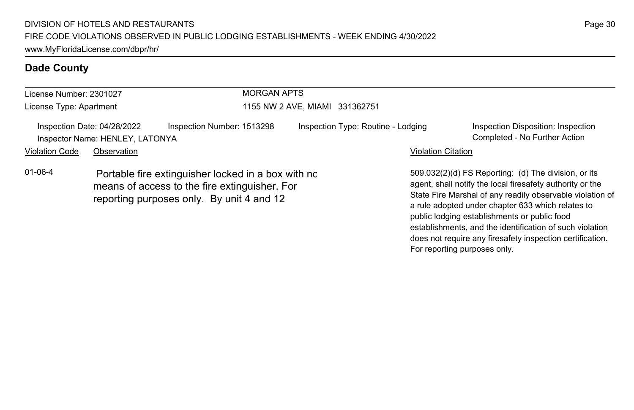| License Number: 2301027<br>License Type: Apartment<br>Inspection Date: 04/28/2022<br>Inspector Name: HENLEY, LATONYA                                              |             |                            | <b>MORGAN APTS</b><br>1155 NW 2 AVE, MIAMI 331362751 |                           |                                                                                                                                                                                                                                                                                                                                                 |  |  |
|-------------------------------------------------------------------------------------------------------------------------------------------------------------------|-------------|----------------------------|------------------------------------------------------|---------------------------|-------------------------------------------------------------------------------------------------------------------------------------------------------------------------------------------------------------------------------------------------------------------------------------------------------------------------------------------------|--|--|
|                                                                                                                                                                   |             |                            |                                                      |                           |                                                                                                                                                                                                                                                                                                                                                 |  |  |
|                                                                                                                                                                   |             | Inspection Number: 1513298 | Inspection Type: Routine - Lodging                   |                           | Inspection Disposition: Inspection<br>Completed - No Further Action                                                                                                                                                                                                                                                                             |  |  |
| <b>Violation Code</b>                                                                                                                                             | Observation |                            |                                                      | <b>Violation Citation</b> |                                                                                                                                                                                                                                                                                                                                                 |  |  |
| $01 - 06 - 4$<br>Portable fire extinguisher locked in a box with no<br>means of access to the fire extinguisher. For<br>reporting purposes only. By unit 4 and 12 |             |                            |                                                      |                           | 509.032(2)(d) FS Reporting: (d) The division, or its<br>agent, shall notify the local firesafety authority or the<br>State Fire Marshal of any readily observable violation of<br>a rule adopted under chapter 633 which relates to<br>public lodging establishments or public food<br>establishments, and the identification of such violation |  |  |

Page 30

does not require any firesafety inspection certification.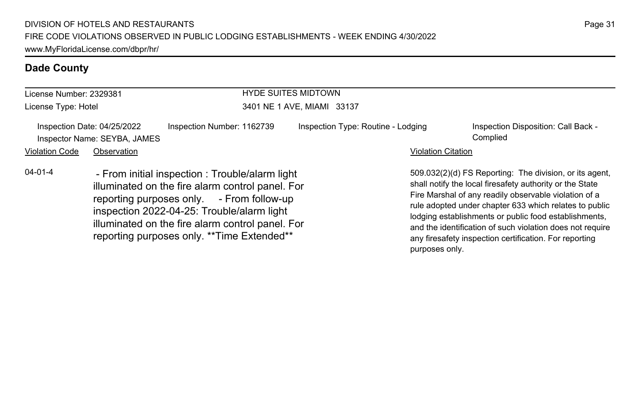reporting purposes only. \*\*Time Extended\*\*

# **Dade County**

| License Number: 2329381                                                                                                                                                                                                                                             |             |                            | <b>HYDE SUITES MIDTOWN</b>         |                                                                                                                                                                                                                                                                                                                                                              |  |  |
|---------------------------------------------------------------------------------------------------------------------------------------------------------------------------------------------------------------------------------------------------------------------|-------------|----------------------------|------------------------------------|--------------------------------------------------------------------------------------------------------------------------------------------------------------------------------------------------------------------------------------------------------------------------------------------------------------------------------------------------------------|--|--|
| License Type: Hotel                                                                                                                                                                                                                                                 |             |                            | 3401 NE 1 AVE, MIAMI 33137         |                                                                                                                                                                                                                                                                                                                                                              |  |  |
| Inspection Date: 04/25/2022<br>Inspector Name: SEYBA, JAMES                                                                                                                                                                                                         |             | Inspection Number: 1162739 | Inspection Type: Routine - Lodging | Inspection Disposition: Call Back -<br>Complied                                                                                                                                                                                                                                                                                                              |  |  |
| <b>Violation Code</b>                                                                                                                                                                                                                                               | Observation |                            | <b>Violation Citation</b>          |                                                                                                                                                                                                                                                                                                                                                              |  |  |
| $04 - 01 - 4$<br>- From initial inspection : Trouble/alarm light<br>illuminated on the fire alarm control panel. For<br>reporting purposes only. - From follow-up<br>inspection 2022-04-25: Trouble/alarm light<br>illuminated on the fire alarm control panel. For |             |                            |                                    | 509.032(2)(d) FS Reporting: The division, or its agent,<br>shall notify the local firesafety authority or the State<br>Fire Marshal of any readily observable violation of a<br>rule adopted under chapter 633 which relates to public<br>lodging establishments or public food establishments,<br>and the identification of such violation does not require |  |  |

and the identification of such violation does not require any firesafety inspection certification. For reporting

purposes only.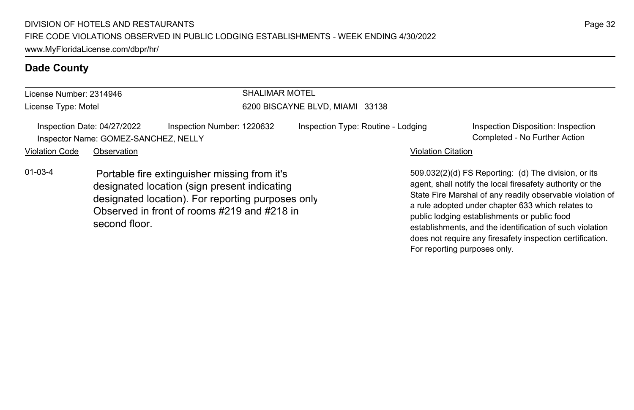second floor.

| License Number: 2314946 |                                                                     |                                                                                                                                                                                                  | <b>SHALIMAR MOTEL</b>           |                                    |                                                                                                                                                                                                                                                                                     |  |
|-------------------------|---------------------------------------------------------------------|--------------------------------------------------------------------------------------------------------------------------------------------------------------------------------------------------|---------------------------------|------------------------------------|-------------------------------------------------------------------------------------------------------------------------------------------------------------------------------------------------------------------------------------------------------------------------------------|--|
| License Type: Motel     |                                                                     |                                                                                                                                                                                                  | 6200 BISCAYNE BLVD, MIAMI 33138 |                                    |                                                                                                                                                                                                                                                                                     |  |
|                         | Inspection Date: 04/27/2022<br>Inspector Name: GOMEZ-SANCHEZ, NELLY | Inspection Number: 1220632                                                                                                                                                                       |                                 | Inspection Type: Routine - Lodging | Inspection Disposition: Inspection<br>Completed - No Further Action                                                                                                                                                                                                                 |  |
| <b>Violation Code</b>   | Observation                                                         |                                                                                                                                                                                                  |                                 | <b>Violation Citation</b>          |                                                                                                                                                                                                                                                                                     |  |
| $01 - 03 - 4$           |                                                                     | Portable fire extinguisher missing from it's<br>designated location (sign present indicating<br>designated location). For reporting purposes only<br>Observed in front of rooms #219 and #218 in |                                 |                                    | 509.032(2)(d) FS Reporting: (d) The division, or its<br>agent, shall notify the local firesafety authority or the<br>State Fire Marshal of any readily observable violation of<br>a rule adopted under chapter 633 which relates to<br>public lodging establishments or public food |  |

establishments, and the identification of such violation does not require any firesafety inspection certification.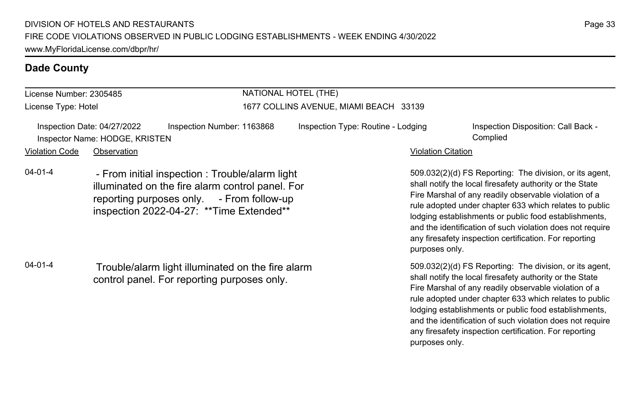#### License Number: 2305485 License Type: Hotel NATIONAL HOTEL (THE) 1677 COLLINS AVENUE, MIAMI BEACH 33139 Inspection Date: 04/27/2022 Inspection Number: 1163868 Inspection Type: Routine - Lodging Inspection Disposition: Call Back -Inspector Name: HODGE, KRISTEN Complied Violation Code Observation Violation Citation 509.032(2)(d) FS Reporting: The division, or its agent, shall notify the local firesafety authority or the State Fire Marshal of any readily observable violation of a rule adopted under chapter 633 which relates to public lodging establishments or public food establishments, and the identification of such violation does not require any firesafety inspection certification. For reporting purposes only. 04-01-4 - From initial inspection : Trouble/alarm light illuminated on the fire alarm control panel. For reporting purposes only. - From follow-up inspection 2022-04-27: \*\*Time Extended\*\* 509.032(2)(d) FS Reporting: The division, or its agent, shall notify the local firesafety authority or the State Fire Marshal of any readily observable violation of a rule adopted under chapter 633 which relates to public lodging establishments or public food establishments, 04-01-4 Trouble/alarm light illuminated on the fire alarm control panel. For reporting purposes only.

and the identification of such violation does not require any firesafety inspection certification. For reporting

purposes only.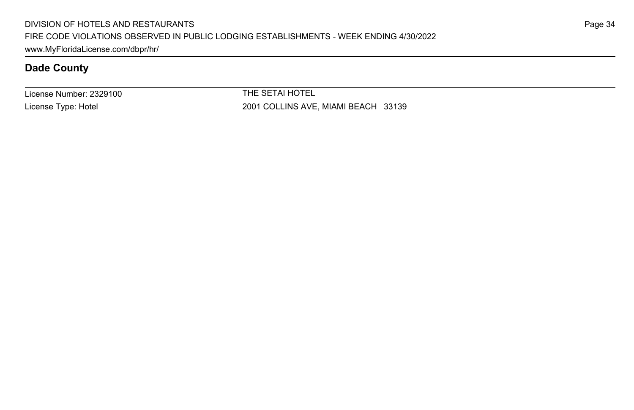License Number: 2329100 License Type: Hotel

THE SETAI HOTEL 2001 COLLINS AVE, MIAMI BEACH 33139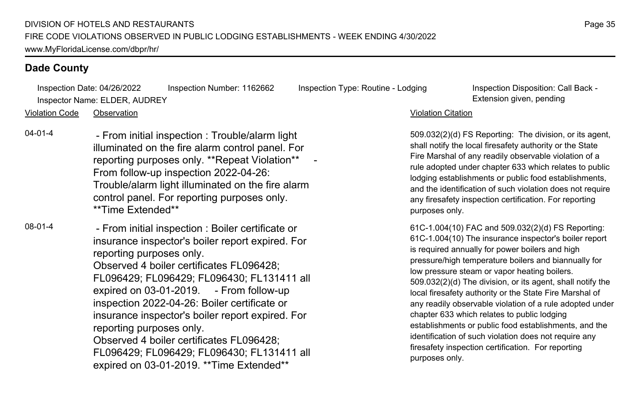Inspection Date: 04/26/2022 Inspection Number: 1162662 Inspection Type: Routine - Lodging Inspection Disposition: Call Back - Inspector Name: ELDER, AUDREY **Extension given, pending** 

Violation Code Observation Violation Citation

04-01-4 - From initial inspection : Trouble/alarm light illuminated on the fire alarm control panel. For reporting purposes only. \*\*Repeat Violation\*\* From follow-up inspection 2022-04-26: Trouble/alarm light illuminated on the fire alarm control panel. For reporting purposes only. \*\*Time Extended\*\*

08-01-4 - From initial inspection : Boiler certificate or insurance inspector's boiler report expired. For reporting purposes only. Observed 4 boiler certificates FL096428; FL096429; FL096429; FL096430; FL131411 all expired on 03-01-2019. - From follow-up inspection 2022-04-26: Boiler certificate or insurance inspector's boiler report expired. For reporting purposes only. Observed 4 boiler certificates FL096428; FL096429; FL096429; FL096430; FL131411 all

expired on 03-01-2019. \*\*Time Extended\*\*

509.032(2)(d) FS Reporting: The division, or its agent, shall notify the local firesafety authority or the State Fire Marshal of any readily observable violation of a rule adopted under chapter 633 which relates to public lodging establishments or public food establishments, and the identification of such violation does not require any firesafety inspection certification. For reporting purposes only.

61C-1.004(10) FAC and 509.032(2)(d) FS Reporting: 61C-1.004(10) The insurance inspector's boiler report is required annually for power boilers and high pressure/high temperature boilers and biannually for low pressure steam or vapor heating boilers. 509.032(2)(d) The division, or its agent, shall notify the local firesafety authority or the State Fire Marshal of any readily observable violation of a rule adopted under chapter 633 which relates to public lodging establishments or public food establishments, and the identification of such violation does not require any firesafety inspection certification. For reporting purposes only.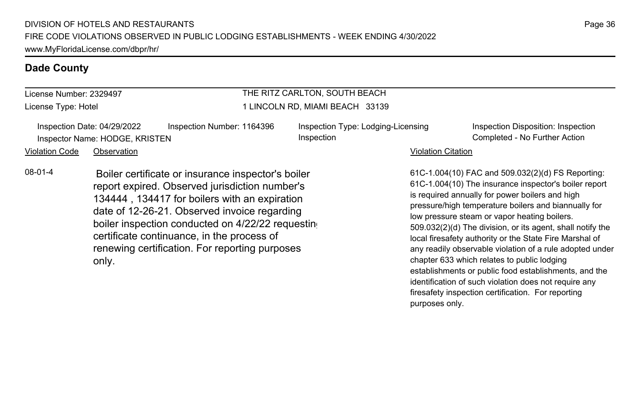# License Number: 2329497

License Type: Hotel

## THE RITZ CARLTON, SOUTH BEACH 1 LINCOLN RD, MIAMI BEACH 33139

Inspection Date: 04/29/2022 Inspection Number: 1164396 Inspection Type: Lodging-Licensing Inspector Name: HODGE, KRISTEN Completed - No Further Action Completed - No Further Action

Inspection

Inspection Disposition: Inspection

#### Violation Code Observation **Violation Code** Observation **Violation** Violation Citation Citation Citation Citation

08-01-4 Boiler certificate or insurance inspector's boiler report expired. Observed jurisdiction number's 134444 , 134417 for boilers with an expiration date of 12-26-21. Observed invoice regarding boiler inspection conducted on 4/22/22 requesting certificate continuance, in the process of renewing certification. For reporting purposes only.

61C-1.004(10) FAC and 509.032(2)(d) FS Reporting: 61C-1.004(10) The insurance inspector's boiler report is required annually for power boilers and high pressure/high temperature boilers and biannually for low pressure steam or vapor heating boilers. 509.032(2)(d) The division, or its agent, shall notify the local firesafety authority or the State Fire Marshal of any readily observable violation of a rule adopted under chapter 633 which relates to public lodging establishments or public food establishments, and the identification of such violation does not require any firesafety inspection certification. For reporting purposes only.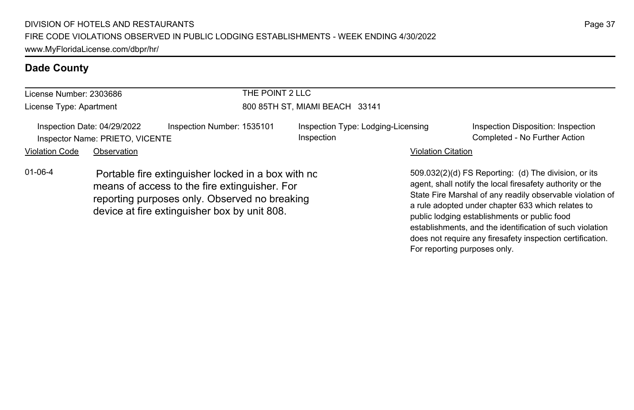| License Number: 2303686                                                                                                                                                                                               |             |                            | THE POINT 2 LLC                |                                                  |                                                                                                                                                                                                                                                                                                                                                                                                              |                                                                     |  |
|-----------------------------------------------------------------------------------------------------------------------------------------------------------------------------------------------------------------------|-------------|----------------------------|--------------------------------|--------------------------------------------------|--------------------------------------------------------------------------------------------------------------------------------------------------------------------------------------------------------------------------------------------------------------------------------------------------------------------------------------------------------------------------------------------------------------|---------------------------------------------------------------------|--|
| License Type: Apartment                                                                                                                                                                                               |             |                            | 800 85TH ST, MIAMI BEACH 33141 |                                                  |                                                                                                                                                                                                                                                                                                                                                                                                              |                                                                     |  |
| Inspection Date: 04/29/2022<br>Inspector Name: PRIETO, VICENTE                                                                                                                                                        |             | Inspection Number: 1535101 |                                | Inspection Type: Lodging-Licensing<br>Inspection |                                                                                                                                                                                                                                                                                                                                                                                                              | Inspection Disposition: Inspection<br>Completed - No Further Action |  |
| <b>Violation Code</b>                                                                                                                                                                                                 | Observation |                            |                                |                                                  | <b>Violation Citation</b>                                                                                                                                                                                                                                                                                                                                                                                    |                                                                     |  |
| $01 - 06 - 4$<br>Portable fire extinguisher locked in a box with no<br>means of access to the fire extinguisher. For<br>reporting purposes only. Observed no breaking<br>device at fire extinguisher box by unit 808. |             |                            |                                |                                                  | 509.032(2)(d) FS Reporting: (d) The division, or its<br>agent, shall notify the local firesafety authority or the<br>State Fire Marshal of any readily observable violation of<br>a rule adopted under chapter 633 which relates to<br>public lodging establishments or public food<br>establishments, and the identification of such violation<br>does not require any firesafety inspection certification. |                                                                     |  |

For reporting purposes only.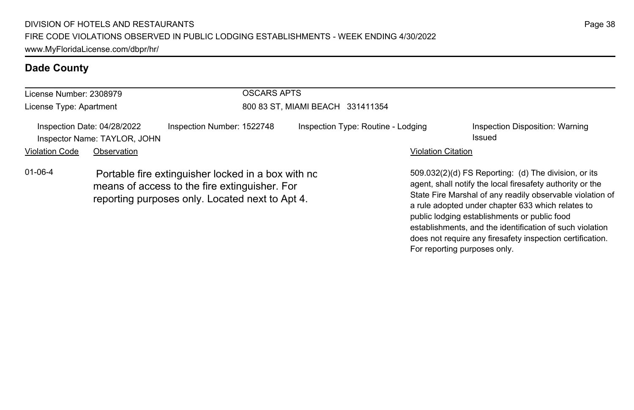| License Number: 2308979                                     |             |                                                                                                                                                        | <b>OSCARS APTS</b>                 |                           |                                                                                                                                                                                                                                                                                                                                                                                                              |  |  |
|-------------------------------------------------------------|-------------|--------------------------------------------------------------------------------------------------------------------------------------------------------|------------------------------------|---------------------------|--------------------------------------------------------------------------------------------------------------------------------------------------------------------------------------------------------------------------------------------------------------------------------------------------------------------------------------------------------------------------------------------------------------|--|--|
| License Type: Apartment                                     |             |                                                                                                                                                        | 800 83 ST, MIAMI BEACH 331411354   |                           |                                                                                                                                                                                                                                                                                                                                                                                                              |  |  |
| Inspection Date: 04/28/2022<br>Inspector Name: TAYLOR, JOHN |             | Inspection Number: 1522748                                                                                                                             | Inspection Type: Routine - Lodging |                           | Inspection Disposition: Warning<br>Issued                                                                                                                                                                                                                                                                                                                                                                    |  |  |
| <b>Violation Code</b>                                       | Observation |                                                                                                                                                        |                                    | <b>Violation Citation</b> |                                                                                                                                                                                                                                                                                                                                                                                                              |  |  |
| $01 - 06 - 4$                                               |             | Portable fire extinguisher locked in a box with no<br>means of access to the fire extinguisher. For<br>reporting purposes only. Located next to Apt 4. |                                    |                           | 509.032(2)(d) FS Reporting: (d) The division, or its<br>agent, shall notify the local firesafety authority or the<br>State Fire Marshal of any readily observable violation of<br>a rule adopted under chapter 633 which relates to<br>public lodging establishments or public food<br>establishments, and the identification of such violation<br>does not require any firesafety inspection certification. |  |  |

For reporting purposes only.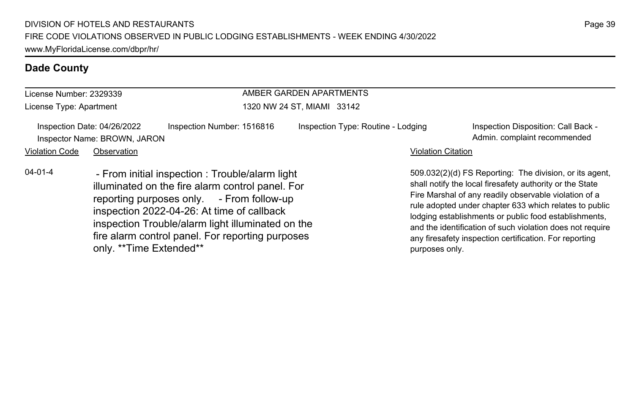only. \*\*Time Extended\*\*

### **Dade County**

| License Number: 2329339 |                                                             |                                                                                                                                                                                                                                                                                                         | AMBER GARDEN APARTMENTS            |                           |                                                                                                                                                                                                                                                                                                                                                                                                                        |  |  |
|-------------------------|-------------------------------------------------------------|---------------------------------------------------------------------------------------------------------------------------------------------------------------------------------------------------------------------------------------------------------------------------------------------------------|------------------------------------|---------------------------|------------------------------------------------------------------------------------------------------------------------------------------------------------------------------------------------------------------------------------------------------------------------------------------------------------------------------------------------------------------------------------------------------------------------|--|--|
| License Type: Apartment |                                                             |                                                                                                                                                                                                                                                                                                         | 1320 NW 24 ST, MIAMI 33142         |                           |                                                                                                                                                                                                                                                                                                                                                                                                                        |  |  |
|                         | Inspection Date: 04/26/2022<br>Inspector Name: BROWN, JARON | Inspection Number: 1516816                                                                                                                                                                                                                                                                              | Inspection Type: Routine - Lodging |                           | Inspection Disposition: Call Back -<br>Admin. complaint recommended                                                                                                                                                                                                                                                                                                                                                    |  |  |
| <b>Violation Code</b>   | Observation                                                 |                                                                                                                                                                                                                                                                                                         |                                    | <b>Violation Citation</b> |                                                                                                                                                                                                                                                                                                                                                                                                                        |  |  |
| $04 - 01 - 4$           |                                                             | - From initial inspection : Trouble/alarm light<br>illuminated on the fire alarm control panel. For<br>reporting purposes only. - From follow-up<br>inspection 2022-04-26: At time of callback<br>inspection Trouble/alarm light illuminated on the<br>fire alarm control panel. For reporting purposes |                                    |                           | 509.032(2)(d) FS Reporting: The division, or its agent.<br>shall notify the local firesafety authority or the State<br>Fire Marshal of any readily observable violation of a<br>rule adopted under chapter 633 which relates to public<br>lodging establishments or public food establishments,<br>and the identification of such violation does not require<br>any firesafety inspection certification. For reporting |  |  |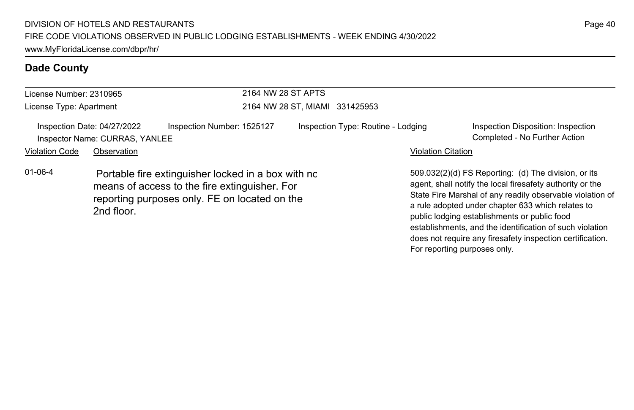| License Number: 2310965                                       |             | 2164 NW 28 ST APTS                                                                                                                                   |                                    |                           |                                                                                                                                                                                                                                                                                                                                                                                                              |  |
|---------------------------------------------------------------|-------------|------------------------------------------------------------------------------------------------------------------------------------------------------|------------------------------------|---------------------------|--------------------------------------------------------------------------------------------------------------------------------------------------------------------------------------------------------------------------------------------------------------------------------------------------------------------------------------------------------------------------------------------------------------|--|
| License Type: Apartment                                       |             |                                                                                                                                                      | 2164 NW 28 ST, MIAMI 331425953     |                           |                                                                                                                                                                                                                                                                                                                                                                                                              |  |
| Inspection Date: 04/27/2022<br>Inspector Name: CURRAS, YANLEE |             | Inspection Number: 1525127                                                                                                                           | Inspection Type: Routine - Lodging |                           | Inspection Disposition: Inspection<br>Completed - No Further Action                                                                                                                                                                                                                                                                                                                                          |  |
| <b>Violation Code</b>                                         | Observation |                                                                                                                                                      |                                    | <b>Violation Citation</b> |                                                                                                                                                                                                                                                                                                                                                                                                              |  |
| $01 - 06 - 4$                                                 | 2nd floor.  | Portable fire extinguisher locked in a box with no<br>means of access to the fire extinguisher. For<br>reporting purposes only. FE on located on the |                                    |                           | 509.032(2)(d) FS Reporting: (d) The division, or its<br>agent, shall notify the local firesafety authority or the<br>State Fire Marshal of any readily observable violation of<br>a rule adopted under chapter 633 which relates to<br>public lodging establishments or public food<br>establishments, and the identification of such violation<br>does not require any firesafety inspection certification. |  |

For reporting purposes only.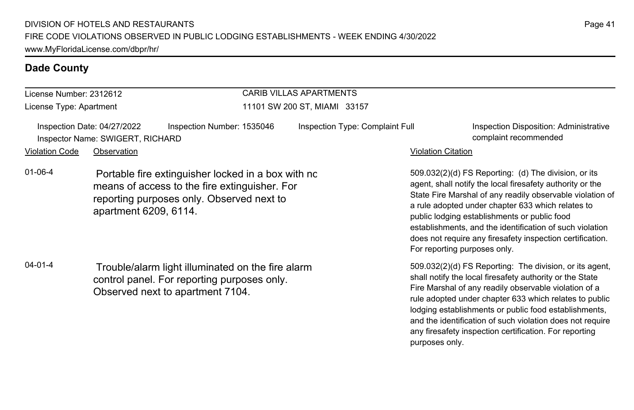#### License Number: 2312612 License Type: Apartment CARIB VILLAS APARTMENTS 11101 SW 200 ST, MIAMI 33157 Inspection Date: 04/27/2022 Inspection Number: 1535046 Inspection Type: Complaint Full Inspection Disposition: Administrative Inspector Name: SWIGERT, RICHARD complaint recommended Violation Code Observation **Violation Code** Observation **Violation** Violation Citation Citation Citation Citation 509.032(2)(d) FS Reporting: (d) The division, or its agent, shall notify the local firesafety authority or the State Fire Marshal of any readily observable violation of a rule adopted under chapter 633 which relates to public lodging establishments or public food establishments, and the identification of such violation does not require any firesafety inspection certification. For reporting purposes only. 01-06-4 Portable fire extinguisher locked in a box with no means of access to the fire extinguisher. For reporting purposes only. Observed next to apartment 6209, 6114. 509.032(2)(d) FS Reporting: The division, or its agent, shall notify the local firesafety authority or the State Fire Marshal of any readily observable violation of a rule adopted under chapter 633 which relates to public 04-01-4 Trouble/alarm light illuminated on the fire alarm control panel. For reporting purposes only. Observed next to apartment 7104.

lodging establishments or public food establishments, and the identification of such violation does not require any firesafety inspection certification. For reporting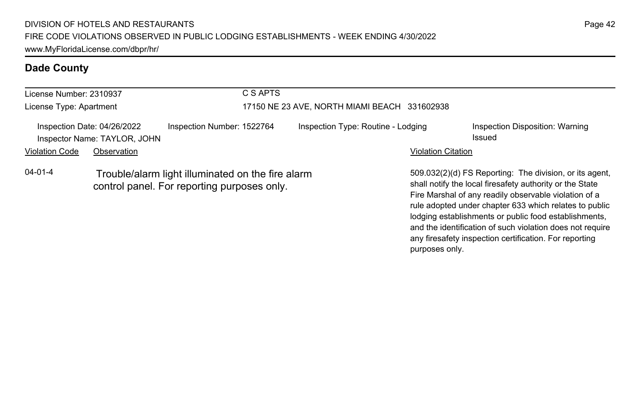| License Number: 2310937 |                                                             |                                                                                                  | C S APTS                                     |                           |                                                                                                                                                                                                                                                                                                                                                              |  |  |
|-------------------------|-------------------------------------------------------------|--------------------------------------------------------------------------------------------------|----------------------------------------------|---------------------------|--------------------------------------------------------------------------------------------------------------------------------------------------------------------------------------------------------------------------------------------------------------------------------------------------------------------------------------------------------------|--|--|
| License Type: Apartment |                                                             |                                                                                                  | 17150 NE 23 AVE, NORTH MIAMI BEACH 331602938 |                           |                                                                                                                                                                                                                                                                                                                                                              |  |  |
|                         | Inspection Date: 04/26/2022<br>Inspector Name: TAYLOR, JOHN | Inspection Number: 1522764                                                                       | Inspection Type: Routine - Lodging           |                           | Inspection Disposition: Warning<br>Issued                                                                                                                                                                                                                                                                                                                    |  |  |
| <b>Violation Code</b>   | Observation                                                 |                                                                                                  |                                              | <b>Violation Citation</b> |                                                                                                                                                                                                                                                                                                                                                              |  |  |
| $04 - 01 - 4$           |                                                             | Trouble/alarm light illuminated on the fire alarm<br>control panel. For reporting purposes only. |                                              |                           | 509.032(2)(d) FS Reporting: The division, or its agent,<br>shall notify the local firesafety authority or the State<br>Fire Marshal of any readily observable violation of a<br>rule adopted under chapter 633 which relates to public<br>lodging establishments or public food establishments,<br>and the identification of such violation does not require |  |  |

any firesafety inspection certification. For reporting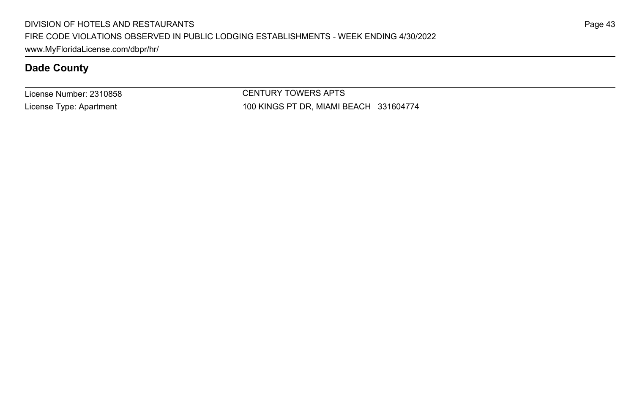License Number: 2310858 License Type: Apartment

CENTURY TOWERS APTS 100 KINGS PT DR, MIAMI BEACH 331604774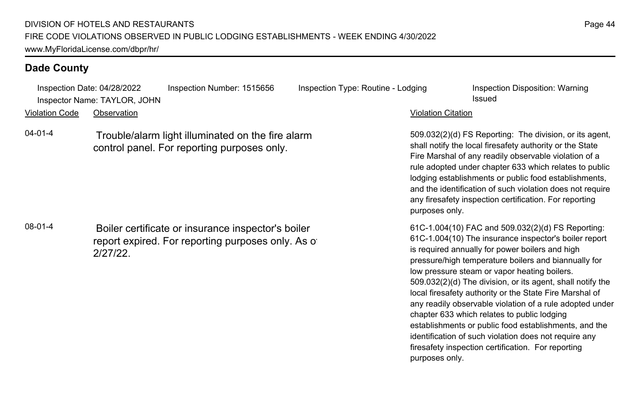Inspection Date: 04/28/2022 Inspection Number: 1515656 Inspection Type: Routine - Lodging Inspection Disposition: Warning Inspector Name: TAYLOR, JOHN Issued

Violation Code Observation Violation Citation

04-01-4 Trouble/alarm light illuminated on the fire alarm control panel. For reporting purposes only.

08-01-4 Boiler certificate or insurance inspector's boiler report expired. For reporting purposes only. As of 2/27/22.

509.032(2)(d) FS Reporting: The division, or its agent, shall notify the local firesafety authority or the State Fire Marshal of any readily observable violation of a rule adopted under chapter 633 which relates to public lodging establishments or public food establishments, and the identification of such violation does not require any firesafety inspection certification. For reporting purposes only.

61C-1.004(10) FAC and 509.032(2)(d) FS Reporting: 61C-1.004(10) The insurance inspector's boiler report is required annually for power boilers and high pressure/high temperature boilers and biannually for low pressure steam or vapor heating boilers. 509.032(2)(d) The division, or its agent, shall notify the local firesafety authority or the State Fire Marshal of any readily observable violation of a rule adopted under chapter 633 which relates to public lodging establishments or public food establishments, and the identification of such violation does not require any firesafety inspection certification. For reporting purposes only.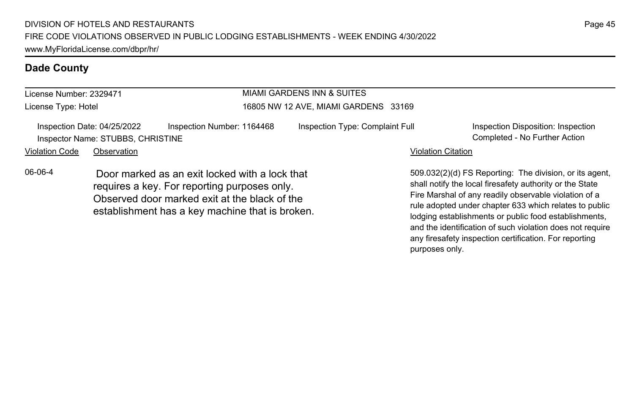#### License Number: 2329471 License Type: Hotel MIAMI GARDENS INN & SUITES 16805 NW 12 AVE, MIAMI GARDENS 33169 Inspection Date: 04/25/2022 Inspection Number: 1164468 Inspection Type: Complaint Full Inspection Disposition: Inspection Inspector Name: STUBBS, CHRISTINE Completed - No Further Action Violation Code Observation **Violation Code** Observation **Violation** Violation Citation Citation Citation Citation 509.032(2)(d) FS Reporting: The division, or its agent, shall notify the local firesafety authority or the State Fire Marshal of any readily observable violation of a rule adopted under chapter 633 which relates to public lodging establishments or public food establishments, 06-06-4 Door marked as an exit locked with a lock that requires a key. For reporting purposes only. Observed door marked exit at the black of the establishment has a key machine that is broken.

Page 45

and the identification of such violation does not require any firesafety inspection certification. For reporting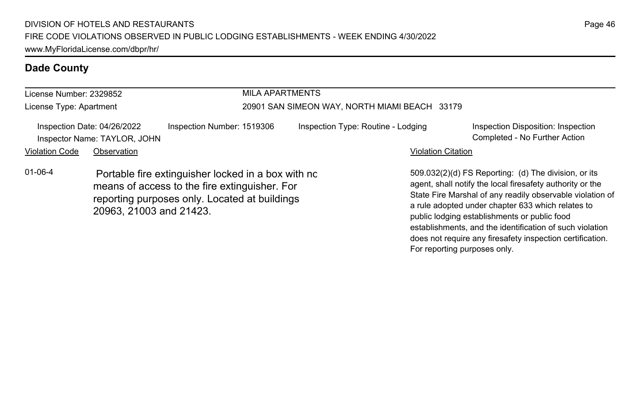| License Number: 2329852 |                                                             |                                                                                                                                                      | <b>MILA APARTMENTS</b>                        |                                                                                                                                                                                                                                                                                                                                                 |  |  |
|-------------------------|-------------------------------------------------------------|------------------------------------------------------------------------------------------------------------------------------------------------------|-----------------------------------------------|-------------------------------------------------------------------------------------------------------------------------------------------------------------------------------------------------------------------------------------------------------------------------------------------------------------------------------------------------|--|--|
| License Type: Apartment |                                                             |                                                                                                                                                      | 20901 SAN SIMEON WAY, NORTH MIAMI BEACH 33179 |                                                                                                                                                                                                                                                                                                                                                 |  |  |
|                         | Inspection Date: 04/26/2022<br>Inspector Name: TAYLOR, JOHN | Inspection Number: 1519306                                                                                                                           | Inspection Type: Routine - Lodging            | Inspection Disposition: Inspection<br>Completed - No Further Action                                                                                                                                                                                                                                                                             |  |  |
| <b>Violation Code</b>   | Observation                                                 |                                                                                                                                                      |                                               | <b>Violation Citation</b>                                                                                                                                                                                                                                                                                                                       |  |  |
| $01 - 06 - 4$           | 20963, 21003 and 21423.                                     | Portable fire extinguisher locked in a box with no<br>means of access to the fire extinguisher. For<br>reporting purposes only. Located at buildings |                                               | 509.032(2)(d) FS Reporting: (d) The division, or its<br>agent, shall notify the local firesafety authority or the<br>State Fire Marshal of any readily observable violation of<br>a rule adopted under chapter 633 which relates to<br>public lodging establishments or public food<br>establishments, and the identification of such violation |  |  |

Page 46

does not require any firesafety inspection certification.

For reporting purposes only.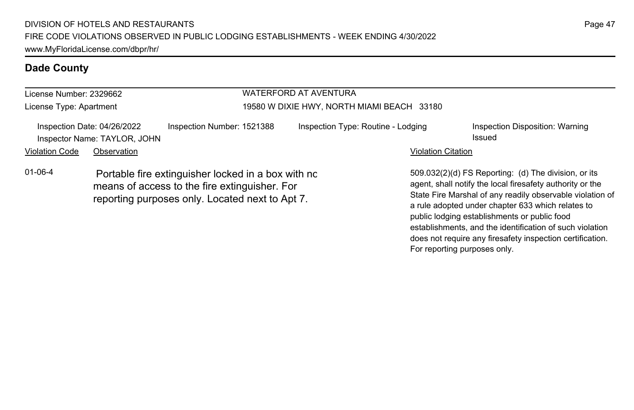| License Number: 2329662 |                                                             |                                                                                                                                                        | WATERFORD AT AVENTURA                      |                           |                                                                                                                                                                                                                                                                                                                                                 |  |
|-------------------------|-------------------------------------------------------------|--------------------------------------------------------------------------------------------------------------------------------------------------------|--------------------------------------------|---------------------------|-------------------------------------------------------------------------------------------------------------------------------------------------------------------------------------------------------------------------------------------------------------------------------------------------------------------------------------------------|--|
| License Type: Apartment |                                                             |                                                                                                                                                        | 19580 W DIXIE HWY, NORTH MIAMI BEACH 33180 |                           |                                                                                                                                                                                                                                                                                                                                                 |  |
|                         | Inspection Date: 04/26/2022<br>Inspector Name: TAYLOR, JOHN | Inspection Number: 1521388                                                                                                                             | Inspection Type: Routine - Lodging         |                           | Inspection Disposition: Warning<br>Issued                                                                                                                                                                                                                                                                                                       |  |
| Violation Code          | Observation                                                 |                                                                                                                                                        |                                            | <b>Violation Citation</b> |                                                                                                                                                                                                                                                                                                                                                 |  |
| $01 - 06 - 4$           |                                                             | Portable fire extinguisher locked in a box with no<br>means of access to the fire extinguisher. For<br>reporting purposes only. Located next to Apt 7. |                                            |                           | 509.032(2)(d) FS Reporting: (d) The division, or its<br>agent, shall notify the local firesafety authority or the<br>State Fire Marshal of any readily observable violation of<br>a rule adopted under chapter 633 which relates to<br>public lodging establishments or public food<br>establishments, and the identification of such violation |  |

does not require any firesafety inspection certification.

For reporting purposes only.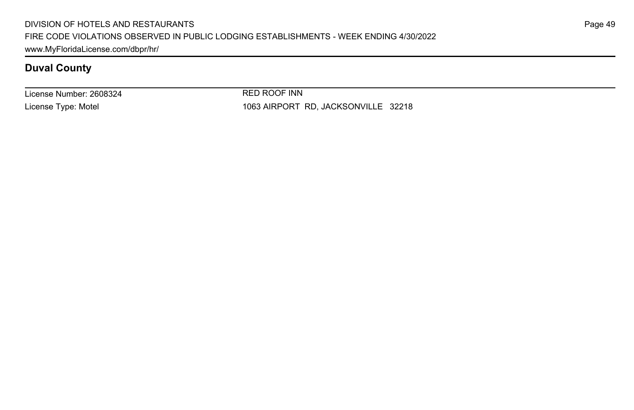License Number: 2608324 License Type: Motel

RED ROOF INN 1063 AIRPORT RD, JACKSONVILLE 32218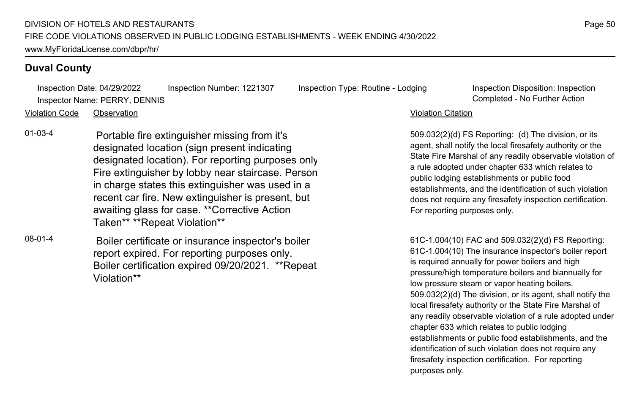Inspection Date: 04/29/2022 Inspection Number: 1221307 Inspection Type: Routine - Lodging Inspection Disposition: Inspection Inspector Name: PERRY, DENNIS Completed - No Further Action

509.032(2)(d) FS Reporting: (d) The division, or its agent, shall notify the local firesafety authority or the State Fire Marshal of any readily observable violation of a rule adopted under chapter 633 which relates to public lodging establishments or public food establishments, and the identification of such violation does not require any firesafety inspection certification. For reporting purposes only.

61C-1.004(10) FAC and 509.032(2)(d) FS Reporting: 61C-1.004(10) The insurance inspector's boiler report is required annually for power boilers and high pressure/high temperature boilers and biannually for low pressure steam or vapor heating boilers. 509.032(2)(d) The division, or its agent, shall notify the local firesafety authority or the State Fire Marshal of any readily observable violation of a rule adopted under chapter 633 which relates to public lodging establishments or public food establishments, and the identification of such violation does not require any firesafety inspection certification. For reporting purposes only.

Violation Code Observation Violation Citation

- 01-03-4 Portable fire extinguisher missing from it's designated location (sign present indicating designated location). For reporting purposes only. Fire extinguisher by lobby near staircase. Person in charge states this extinguisher was used in a recent car fire. New extinguisher is present, but awaiting glass for case. \*\*Corrective Action Taken\*\* \*\*Repeat Violation\*\*
- 08-01-4 Boiler certificate or insurance inspector's boiler report expired. For reporting purposes only. Boiler certification expired 09/20/2021. \*\*Repeat Violation\*\*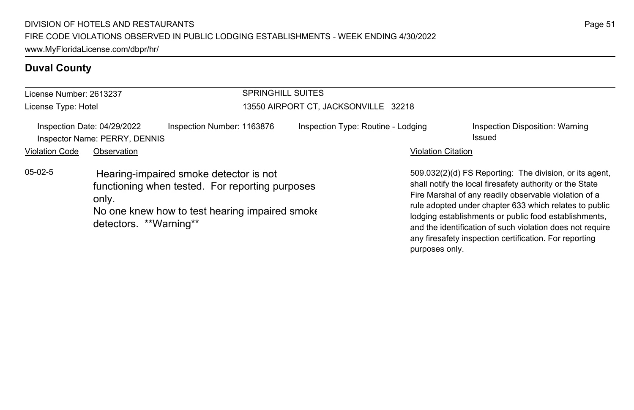| License Number: 2613237 |                                                              |                                                                                                                                             | <b>SPRINGHILL SUITES</b>             |                           |                                                                                                                                                                                                                                                                                                                                                                                                                        |  |
|-------------------------|--------------------------------------------------------------|---------------------------------------------------------------------------------------------------------------------------------------------|--------------------------------------|---------------------------|------------------------------------------------------------------------------------------------------------------------------------------------------------------------------------------------------------------------------------------------------------------------------------------------------------------------------------------------------------------------------------------------------------------------|--|
| License Type: Hotel     |                                                              |                                                                                                                                             | 13550 AIRPORT CT, JACKSONVILLE 32218 |                           |                                                                                                                                                                                                                                                                                                                                                                                                                        |  |
|                         | Inspection Date: 04/29/2022<br>Inspector Name: PERRY, DENNIS | Inspection Number: 1163876                                                                                                                  | Inspection Type: Routine - Lodging   |                           | Inspection Disposition: Warning<br>Issued                                                                                                                                                                                                                                                                                                                                                                              |  |
| <b>Violation Code</b>   | Observation                                                  |                                                                                                                                             |                                      | <b>Violation Citation</b> |                                                                                                                                                                                                                                                                                                                                                                                                                        |  |
| $05-02-5$               | only.<br>detectors. **Warning**                              | Hearing-impaired smoke detector is not<br>functioning when tested. For reporting purposes<br>No one knew how to test hearing impaired smoke |                                      |                           | 509.032(2)(d) FS Reporting: The division, or its agent,<br>shall notify the local firesafety authority or the State<br>Fire Marshal of any readily observable violation of a<br>rule adopted under chapter 633 which relates to public<br>lodging establishments or public food establishments,<br>and the identification of such violation does not require<br>any firesafety inspection certification. For reporting |  |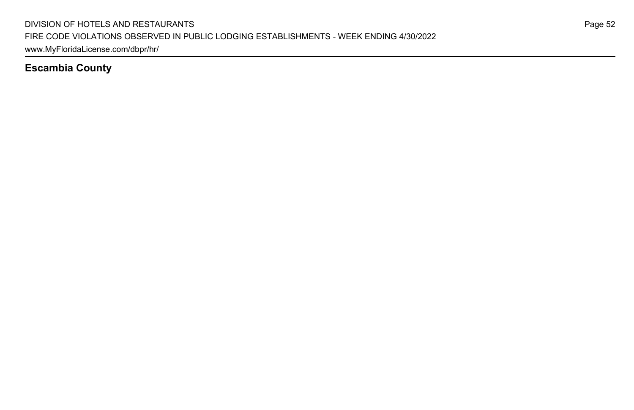### **Escambia County**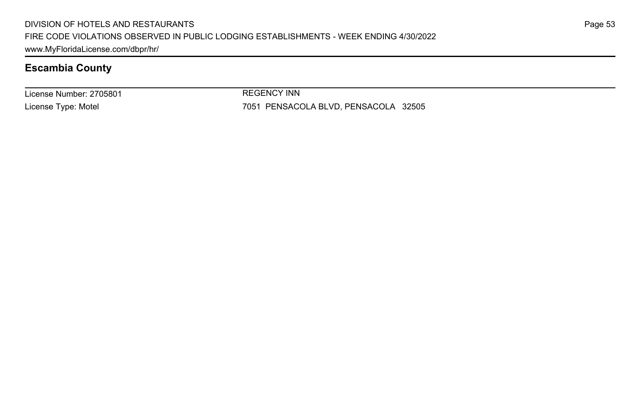### **Escambia County**

License Number: 2705801 License Type: Motel

REGENCY INN

7051 PENSACOLA BLVD, PENSACOLA 32505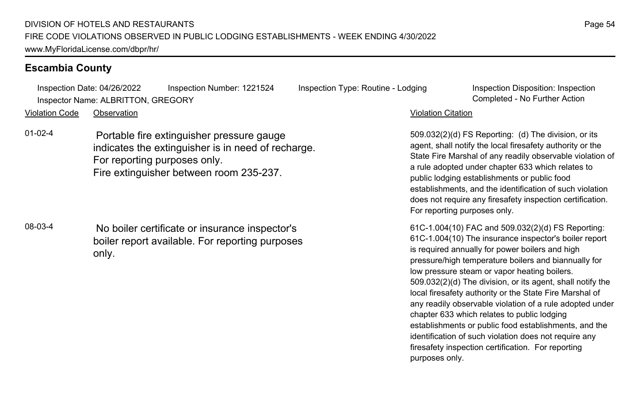### **Escambia County**

Inspection Date: 04/26/2022 Inspection Number: 1221524 Inspection Type: Routine - Lodging Inspection Disposition: Inspection Inspector Name: ALBRITTON, GREGORY Completed - No Further Action

Violation Code Observation Violation Citation

01-02-4 Portable fire extinguisher pressure gauge indicates the extinguisher is in need of recharge. For reporting purposes only. Fire extinguisher between room 235-237.

08-03-4 No boiler certificate or insurance inspector's boiler report available. For reporting purposes only.

509.032(2)(d) FS Reporting: (d) The division, or its agent, shall notify the local firesafety authority or the State Fire Marshal of any readily observable violation of a rule adopted under chapter 633 which relates to public lodging establishments or public food establishments, and the identification of such violation does not require any firesafety inspection certification. For reporting purposes only.

61C-1.004(10) FAC and 509.032(2)(d) FS Reporting: 61C-1.004(10) The insurance inspector's boiler report is required annually for power boilers and high pressure/high temperature boilers and biannually for low pressure steam or vapor heating boilers. 509.032(2)(d) The division, or its agent, shall notify the local firesafety authority or the State Fire Marshal of any readily observable violation of a rule adopted under chapter 633 which relates to public lodging establishments or public food establishments, and the identification of such violation does not require any firesafety inspection certification. For reporting purposes only.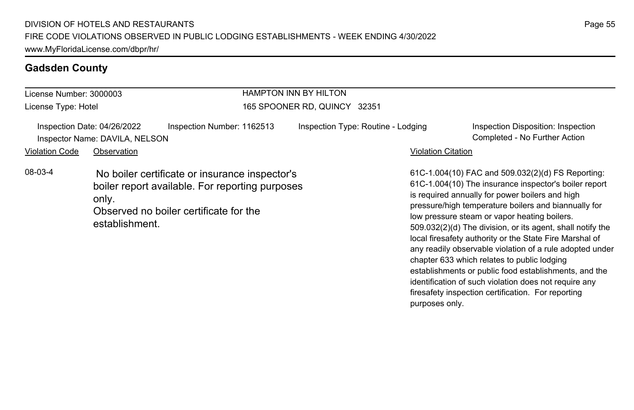### **Gadsden County**

| License Number: 3000003 |                                                               |                                                                                                                                             | <b>HAMPTON INN BY HILTON</b>       |                           |                                                                                                                                                                                                                                                                                                                                                                                                                                                            |  |  |
|-------------------------|---------------------------------------------------------------|---------------------------------------------------------------------------------------------------------------------------------------------|------------------------------------|---------------------------|------------------------------------------------------------------------------------------------------------------------------------------------------------------------------------------------------------------------------------------------------------------------------------------------------------------------------------------------------------------------------------------------------------------------------------------------------------|--|--|
| License Type: Hotel     |                                                               |                                                                                                                                             | 165 SPOONER RD. QUINCY 32351       |                           |                                                                                                                                                                                                                                                                                                                                                                                                                                                            |  |  |
|                         | Inspection Date: 04/26/2022<br>Inspector Name: DAVILA, NELSON | Inspection Number: 1162513                                                                                                                  | Inspection Type: Routine - Lodging |                           | Inspection Disposition: Inspection<br>Completed - No Further Action                                                                                                                                                                                                                                                                                                                                                                                        |  |  |
| <b>Violation Code</b>   | Observation                                                   |                                                                                                                                             |                                    | <b>Violation Citation</b> |                                                                                                                                                                                                                                                                                                                                                                                                                                                            |  |  |
| 08-03-4                 | only.<br>establishment.                                       | No boiler certificate or insurance inspector's<br>boiler report available. For reporting purposes<br>Observed no boiler certificate for the |                                    |                           | 61C-1.004(10) FAC and 509.032(2)(d) FS Reporting:<br>61C-1.004(10) The insurance inspector's boiler report<br>is required annually for power boilers and high<br>pressure/high temperature boilers and biannually for<br>low pressure steam or vapor heating boilers.<br>509.032(2)(d) The division, or its agent, shall notify the<br>local firesafety authority or the State Fire Marshal of<br>any readily observable violation of a rule adopted under |  |  |

chapter 633 which relates to public lodging

purposes only.

establishments or public food establishments, and the identification of such violation does not require any firesafety inspection certification. For reporting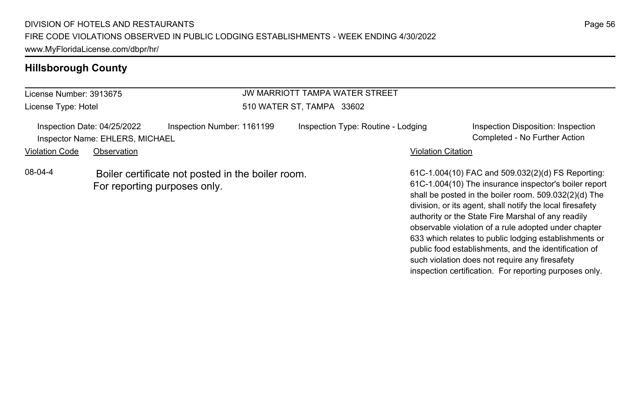| License Number: 3913675 |                                                                | JW MARRIOTT TAMPA WATER STREET                                                    |                                    |                           |                                                                                                                                                                                                                                                                                        |
|-------------------------|----------------------------------------------------------------|-----------------------------------------------------------------------------------|------------------------------------|---------------------------|----------------------------------------------------------------------------------------------------------------------------------------------------------------------------------------------------------------------------------------------------------------------------------------|
| License Type: Hotel     |                                                                | 510 WATER ST, TAMPA 33602                                                         |                                    |                           |                                                                                                                                                                                                                                                                                        |
|                         | Inspection Date: 04/25/2022<br>Inspector Name: EHLERS, MICHAEL | Inspection Number: 1161199                                                        | Inspection Type: Routine - Lodging |                           | Inspection Disposition: Inspection<br>Completed - No Further Action                                                                                                                                                                                                                    |
| <b>Violation Code</b>   | Observation                                                    |                                                                                   |                                    | <b>Violation Citation</b> |                                                                                                                                                                                                                                                                                        |
| 08-04-4                 |                                                                | Boiler certificate not posted in the boiler room.<br>For reporting purposes only. |                                    |                           | 61C-1.004(10) FAC and 509.032(2)(d) FS Reporting:<br>61C-1.004(10) The insurance inspector's boiler report<br>shall be posted in the boiler room. 509.032(2)(d) The<br>division, or its agent, shall notify the local firesafety<br>authority or the State Fire Marshal of any readily |

observable violation of a rule adopted under chapter 633 which relates to public lodging establishments or public food establishments, and the identification of such violation does not require any firesafety inspection certification. For reporting purposes only.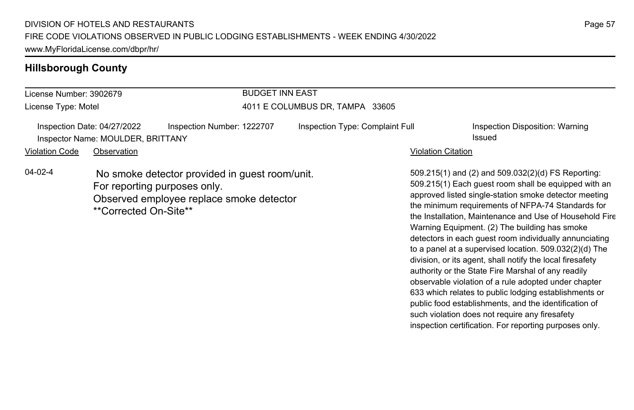| License Number: 3902679 |                                                                  |                                                                                                                            | <b>BUDGET INN EAST</b>          |                                 |                           |                                                                                                                                                                                                                                                                                                                                                                                                |  |
|-------------------------|------------------------------------------------------------------|----------------------------------------------------------------------------------------------------------------------------|---------------------------------|---------------------------------|---------------------------|------------------------------------------------------------------------------------------------------------------------------------------------------------------------------------------------------------------------------------------------------------------------------------------------------------------------------------------------------------------------------------------------|--|
| License Type: Motel     |                                                                  |                                                                                                                            | 4011 E COLUMBUS DR. TAMPA 33605 |                                 |                           |                                                                                                                                                                                                                                                                                                                                                                                                |  |
|                         | Inspection Date: 04/27/2022<br>Inspector Name: MOULDER, BRITTANY | Inspection Number: 1222707                                                                                                 |                                 | Inspection Type: Complaint Full |                           | Inspection Disposition: Warning<br>Issued                                                                                                                                                                                                                                                                                                                                                      |  |
| <b>Violation Code</b>   | Observation                                                      |                                                                                                                            |                                 |                                 | <b>Violation Citation</b> |                                                                                                                                                                                                                                                                                                                                                                                                |  |
| $04 - 02 - 4$           | **Corrected On-Site**                                            | No smoke detector provided in guest room/unit.<br>For reporting purposes only.<br>Observed employee replace smoke detector |                                 |                                 |                           | 509.215(1) and (2) and 509.032(2)(d) FS Reporting:<br>509.215(1) Each quest room shall be equipped with an<br>approved listed single-station smoke detector meeting<br>the minimum requirements of NFPA-74 Standards for<br>the Installation, Maintenance and Use of Household Fire<br>Warning Equipment. (2) The building has smoke<br>detectors in each guest room individually annunciating |  |

Page 57

to a panel at a supervised location. 509.032(2)(d) The division, or its agent, shall notify the local firesafety authority or the State Fire Marshal of any readily observable violation of a rule adopted under chapter 633 which relates to public lodging establishments or public food establishments, and the identification of such violation does not require any firesafety inspection certification. For reporting purposes only.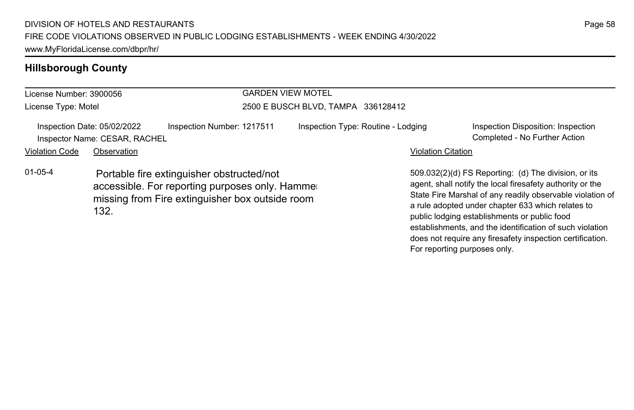| License Number: 3900056 |                                                              |                                                                                                                                                 | <b>GARDEN VIEW MOTEL</b>           |                           |                                                                                                                                                                                                                                                                                                                                                 |  |  |
|-------------------------|--------------------------------------------------------------|-------------------------------------------------------------------------------------------------------------------------------------------------|------------------------------------|---------------------------|-------------------------------------------------------------------------------------------------------------------------------------------------------------------------------------------------------------------------------------------------------------------------------------------------------------------------------------------------|--|--|
| License Type: Motel     |                                                              |                                                                                                                                                 | 2500 E BUSCH BLVD, TAMPA 336128412 |                           |                                                                                                                                                                                                                                                                                                                                                 |  |  |
|                         | Inspection Date: 05/02/2022<br>Inspector Name: CESAR, RACHEL | Inspection Number: 1217511                                                                                                                      | Inspection Type: Routine - Lodging |                           | Inspection Disposition: Inspection<br>Completed - No Further Action                                                                                                                                                                                                                                                                             |  |  |
| <b>Violation Code</b>   | Observation                                                  |                                                                                                                                                 |                                    | <b>Violation Citation</b> |                                                                                                                                                                                                                                                                                                                                                 |  |  |
| $01 - 05 - 4$           | 132.                                                         | Portable fire extinguisher obstructed/not<br>accessible. For reporting purposes only. Hammer<br>missing from Fire extinguisher box outside room |                                    |                           | 509.032(2)(d) FS Reporting: (d) The division, or its<br>agent, shall notify the local firesafety authority or the<br>State Fire Marshal of any readily observable violation of<br>a rule adopted under chapter 633 which relates to<br>public lodging establishments or public food<br>establishments, and the identification of such violation |  |  |

does not require any firesafety inspection certification.

For reporting purposes only.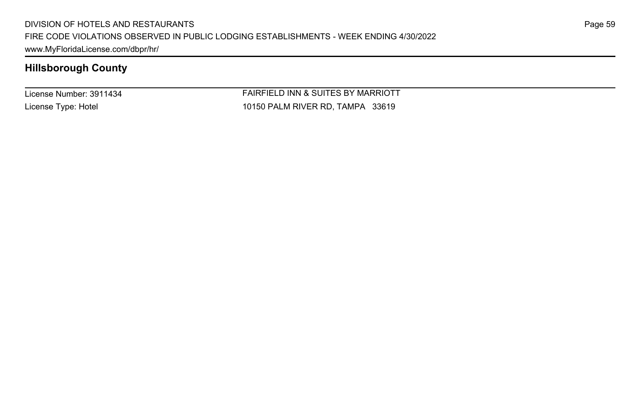License Number: 3911434 License Type: Hotel

FAIRFIELD INN & SUITES BY MARRIOTT 10150 PALM RIVER RD, TAMPA 33619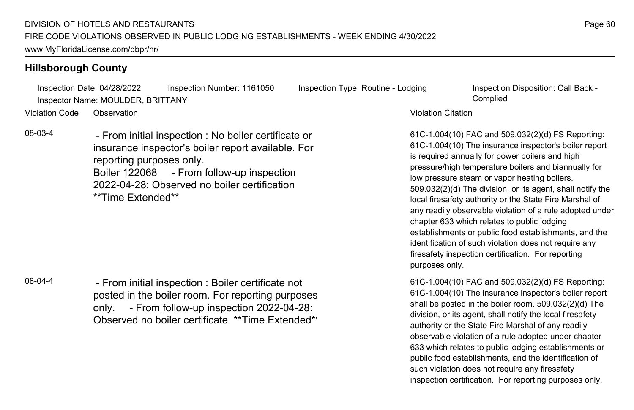Inspection Date: 04/28/2022 Inspection Number: 1161050 Inspection Type: Routine - Lodging Inspection Disposition: Call Back -Inspector Name: MOULDER, BRITTANY Complied

Violation Code Observation Violation Citation

08-03-4 - From initial inspection : No boiler certificate or insurance inspector's boiler report available. For reporting purposes only. Boiler 122068 - From follow-up inspection 2022-04-28: Observed no boiler certification \*\*Time Extended\*\*

08-04-4 - From initial inspection : Boiler certificate not posted in the boiler room. For reporting purposes only. - From follow-up inspection 2022-04-28: Observed no boiler certificate \*\*Time Extended\*\*

61C-1.004(10) FAC and 509.032(2)(d) FS Reporting: 61C-1.004(10) The insurance inspector's boiler report is required annually for power boilers and high pressure/high temperature boilers and biannually for low pressure steam or vapor heating boilers. 509.032(2)(d) The division, or its agent, shall notify the local firesafety authority or the State Fire Marshal of any readily observable violation of a rule adopted under chapter 633 which relates to public lodging establishments or public food establishments, and the identification of such violation does not require any firesafety inspection certification. For reporting purposes only.

61C-1.004(10) FAC and 509.032(2)(d) FS Reporting: 61C-1.004(10) The insurance inspector's boiler report shall be posted in the boiler room. 509.032(2)(d) The division, or its agent, shall notify the local firesafety authority or the State Fire Marshal of any readily observable violation of a rule adopted under chapter 633 which relates to public lodging establishments or public food establishments, and the identification of such violation does not require any firesafety inspection certification. For reporting purposes only.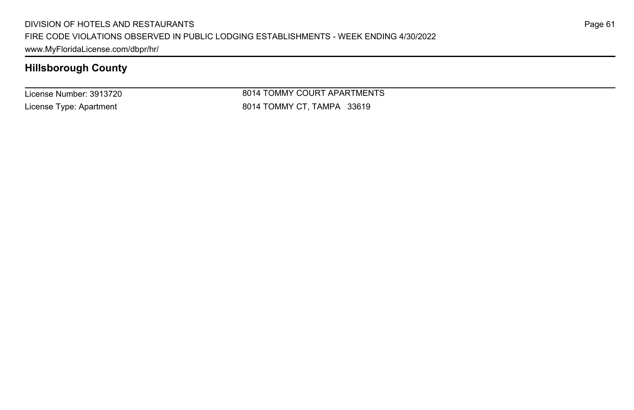License Number: 3913720 License Type: Apartment

8014 TOMMY COURT APARTMENTS 8014 TOMMY CT, TAMPA 33619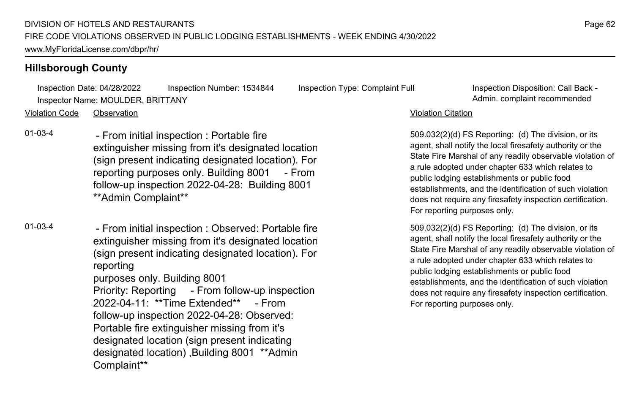Inspection Date: 04/28/2022 Inspection Number: 1534844 Inspection Type: Complaint Full Inspection Disposition: Call Back - Inspector Name: MOULDER, BRITTANY Admin. complaint recommended

Violation Code Observation Violation Citation

01-03-4 - From initial inspection : Portable fire extinguisher missing from it's designated location (sign present indicating designated location). For reporting purposes only. Building 8001 - From follow-up inspection 2022-04-28: Building 8001 \*\*Admin Complaint\*\*

01-03-4 - From initial inspection : Observed: Portable fire extinguisher missing from it's designated location (sign present indicating designated location). For reporting purposes only. Building 8001 Priority: Reporting - From follow-up inspection 2022-04-11: \*\*Time Extended\*\* - From follow-up inspection 2022-04-28: Observed: Portable fire extinguisher missing from it's designated location (sign present indicating designated location) ,Building 8001 \*\*Admin Complaint\*\*

509.032(2)(d) FS Reporting: (d) The division, or its agent, shall notify the local firesafety authority or the State Fire Marshal of any readily observable violation of a rule adopted under chapter 633 which relates to public lodging establishments or public food establishments, and the identification of such violation does not require any firesafety inspection certification. For reporting purposes only.

509.032(2)(d) FS Reporting: (d) The division, or its agent, shall notify the local firesafety authority or the State Fire Marshal of any readily observable violation of a rule adopted under chapter 633 which relates to public lodging establishments or public food establishments, and the identification of such violation does not require any firesafety inspection certification. For reporting purposes only.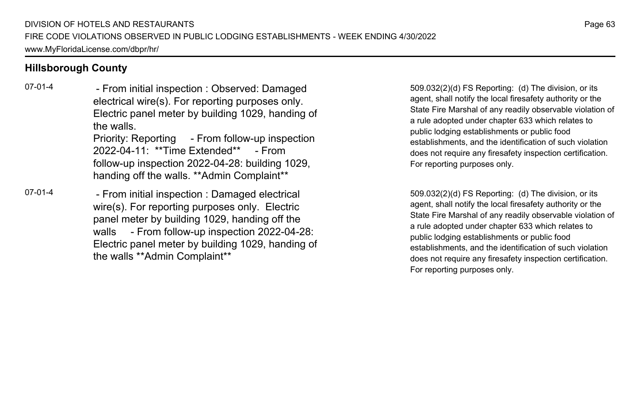07-01-4 - From initial inspection : Observed: Damaged electrical wire(s). For reporting purposes only. Electric panel meter by building 1029, handing of the walls. Priority: Reporting - From follow-up inspection 2022-04-11: \*\*Time Extended\*\* - From follow-up inspection 2022-04-28: building 1029, handing off the walls. \*\*Admin Complaint\*\*

07-01-4 - From initial inspection : Damaged electrical wire(s). For reporting purposes only. Electric panel meter by building 1029, handing off the walls - From follow-up inspection 2022-04-28: Electric panel meter by building 1029, handing of the walls \*\*Admin Complaint\*\*

509.032(2)(d) FS Reporting: (d) The division, or its agent, shall notify the local firesafety authority or the State Fire Marshal of any readily observable violation of a rule adopted under chapter 633 which relates to public lodging establishments or public food establishments, and the identification of such violation does not require any firesafety inspection certification. For reporting purposes only.

509.032(2)(d) FS Reporting: (d) The division, or its agent, shall notify the local firesafety authority or the State Fire Marshal of any readily observable violation of a rule adopted under chapter 633 which relates to public lodging establishments or public food establishments, and the identification of such violation does not require any firesafety inspection certification. For reporting purposes only.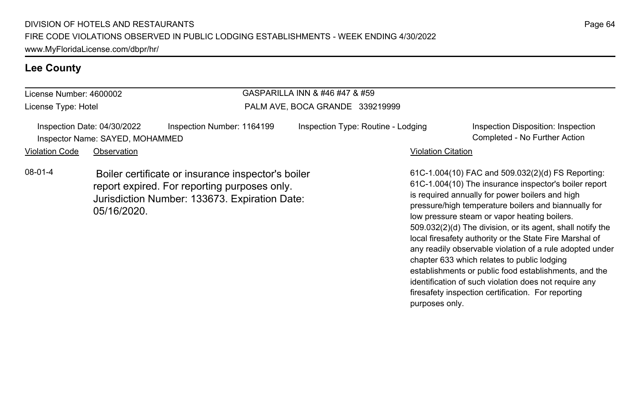#### **Lee County**

| License Number: 4600002 |                                                                                                                                                                    |                                 | GASPARILLA INN & #46 #47 & #59     |                                                                                                                                                                                                                                                                                                                                     |                                                                     |  |
|-------------------------|--------------------------------------------------------------------------------------------------------------------------------------------------------------------|---------------------------------|------------------------------------|-------------------------------------------------------------------------------------------------------------------------------------------------------------------------------------------------------------------------------------------------------------------------------------------------------------------------------------|---------------------------------------------------------------------|--|
| License Type: Hotel     |                                                                                                                                                                    | PALM AVE, BOCA GRANDE 339219999 |                                    |                                                                                                                                                                                                                                                                                                                                     |                                                                     |  |
|                         | Inspection Date: 04/30/2022<br>Inspector Name: SAYED, MOHAMMED                                                                                                     | Inspection Number: 1164199      | Inspection Type: Routine - Lodging |                                                                                                                                                                                                                                                                                                                                     | Inspection Disposition: Inspection<br>Completed - No Further Action |  |
| <b>Violation Code</b>   | Observation                                                                                                                                                        |                                 |                                    | <b>Violation Citation</b>                                                                                                                                                                                                                                                                                                           |                                                                     |  |
| $08-01-4$               | Boiler certificate or insurance inspector's boiler<br>report expired. For reporting purposes only.<br>Jurisdiction Number: 133673. Expiration Date:<br>05/16/2020. |                                 |                                    | 61C-1.004(10) FAC and 509.032(2)(d) FS Reporting:<br>61C-1.004(10) The insurance inspector's boiler report<br>is required annually for power boilers and high<br>pressure/high temperature boilers and biannually for<br>low pressure steam or vapor heating boilers.<br>509.032(2)(d) The division, or its agent, shall notify the |                                                                     |  |

local firesafety authority or the State Fire Marshal of any readily observable violation of a rule adopted under

establishments or public food establishments, and the identification of such violation does not require any firesafety inspection certification. For reporting

chapter 633 which relates to public lodging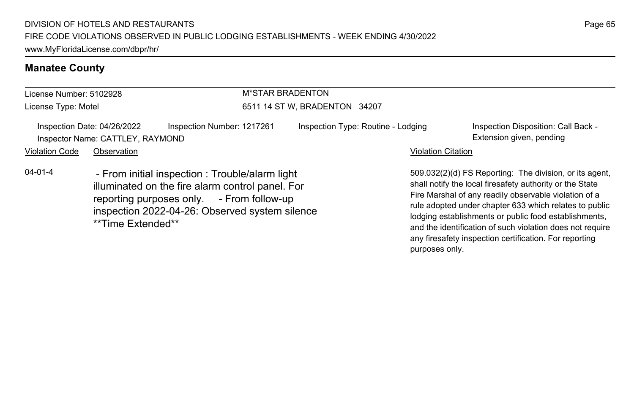### **Manatee County**

| License Number: 5102928                                         |                                                                                                                                                                                                                         | <b>M*STAR BRADENTON</b>       |                                    |                           |                                                                                                                                                                                                                                                                                                                                                              |
|-----------------------------------------------------------------|-------------------------------------------------------------------------------------------------------------------------------------------------------------------------------------------------------------------------|-------------------------------|------------------------------------|---------------------------|--------------------------------------------------------------------------------------------------------------------------------------------------------------------------------------------------------------------------------------------------------------------------------------------------------------------------------------------------------------|
| License Type: Motel                                             |                                                                                                                                                                                                                         | 6511 14 ST W, BRADENTON 34207 |                                    |                           |                                                                                                                                                                                                                                                                                                                                                              |
| Inspection Date: 04/26/2022<br>Inspector Name: CATTLEY, RAYMOND |                                                                                                                                                                                                                         | Inspection Number: 1217261    | Inspection Type: Routine - Lodging |                           | Inspection Disposition: Call Back -<br>Extension given, pending                                                                                                                                                                                                                                                                                              |
| <b>Violation Code</b>                                           | Observation                                                                                                                                                                                                             |                               |                                    | <b>Violation Citation</b> |                                                                                                                                                                                                                                                                                                                                                              |
| $04 - 01 - 4$                                                   | - From initial inspection : Trouble/alarm light<br>illuminated on the fire alarm control panel. For<br>reporting purposes only. - From follow-up<br>inspection 2022-04-26: Observed system silence<br>**Time Extended** |                               |                                    |                           | 509.032(2)(d) FS Reporting: The division, or its agent,<br>shall notify the local firesafety authority or the State<br>Fire Marshal of any readily observable violation of a<br>rule adopted under chapter 633 which relates to public<br>lodging establishments or public food establishments,<br>and the identification of quab violation does not require |

Page 65

and the identification of such violation does not require any firesafety inspection certification. For reporting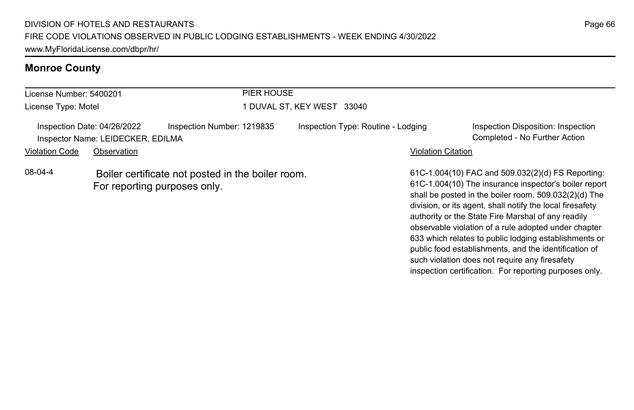### **Monroe County**

| License Number: 5400201                                          |                                                                                   |                            | PIER HOUSE                         |                                                                                                                                                                                                                                                                                                                                                |  |  |
|------------------------------------------------------------------|-----------------------------------------------------------------------------------|----------------------------|------------------------------------|------------------------------------------------------------------------------------------------------------------------------------------------------------------------------------------------------------------------------------------------------------------------------------------------------------------------------------------------|--|--|
| License Type: Motel                                              |                                                                                   | I DUVAL ST. KEY WEST 33040 |                                    |                                                                                                                                                                                                                                                                                                                                                |  |  |
| Inspection Date: 04/26/2022<br>Inspector Name: LEIDECKER, EDILMA |                                                                                   | Inspection Number: 1219835 | Inspection Type: Routine - Lodging | Inspection Disposition: Inspection<br>Completed - No Further Action                                                                                                                                                                                                                                                                            |  |  |
| <b>Violation Code</b>                                            | Observation                                                                       |                            |                                    | <b>Violation Citation</b>                                                                                                                                                                                                                                                                                                                      |  |  |
| 08-04-4                                                          | Boiler certificate not posted in the boiler room.<br>For reporting purposes only. |                            |                                    | 61C-1.004(10) FAC and 509.032(2)(d) FS Reporting:<br>61C-1.004(10) The insurance inspector's boiler report<br>shall be posted in the boiler room. 509.032(2)(d) The<br>division, or its agent, shall notify the local firesafety<br>authority or the State Fire Marshal of any readily<br>observable violation of a rule adopted under chapter |  |  |

Page 66

633 which relates to public lodging establishments or public food establishments, and the identification of such violation does not require any firesafety inspection certification. For reporting purposes only.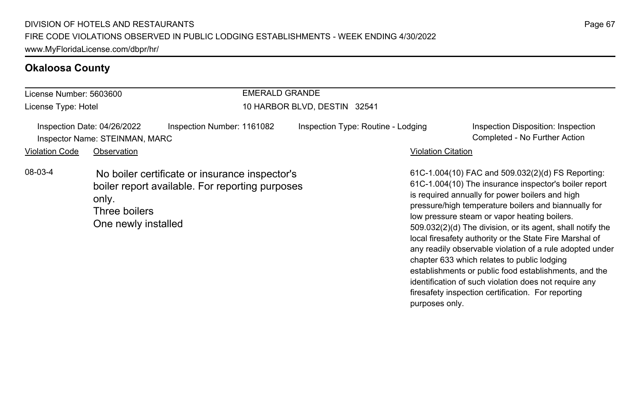### **Okaloosa County**

| License Number: 5603600                                       |                                               |                                                                                                   | <b>EMERALD GRANDE</b>              |                           |                                                                                                                                                                                                                                                                                                                                                                                                                                                            |  |
|---------------------------------------------------------------|-----------------------------------------------|---------------------------------------------------------------------------------------------------|------------------------------------|---------------------------|------------------------------------------------------------------------------------------------------------------------------------------------------------------------------------------------------------------------------------------------------------------------------------------------------------------------------------------------------------------------------------------------------------------------------------------------------------|--|
| License Type: Hotel                                           |                                               |                                                                                                   | 10 HARBOR BLVD, DESTIN 32541       |                           |                                                                                                                                                                                                                                                                                                                                                                                                                                                            |  |
| Inspection Date: 04/26/2022<br>Inspector Name: STEINMAN, MARC |                                               | Inspection Number: 1161082                                                                        | Inspection Type: Routine - Lodging |                           | Inspection Disposition: Inspection<br>Completed - No Further Action                                                                                                                                                                                                                                                                                                                                                                                        |  |
| <b>Violation Code</b>                                         | Observation                                   |                                                                                                   |                                    | <b>Violation Citation</b> |                                                                                                                                                                                                                                                                                                                                                                                                                                                            |  |
| 08-03-4                                                       | only.<br>Three boilers<br>One newly installed | No boiler certificate or insurance inspector's<br>boiler report available. For reporting purposes |                                    |                           | 61C-1.004(10) FAC and 509.032(2)(d) FS Reporting:<br>61C-1.004(10) The insurance inspector's boiler report<br>is required annually for power boilers and high<br>pressure/high temperature boilers and biannually for<br>low pressure steam or vapor heating boilers.<br>509.032(2)(d) The division, or its agent, shall notify the<br>local firesafety authority or the State Fire Marshal of<br>any readily observable violation of a rule adopted under |  |

chapter 633 which relates to public lodging

purposes only.

establishments or public food establishments, and the identification of such violation does not require any firesafety inspection certification. For reporting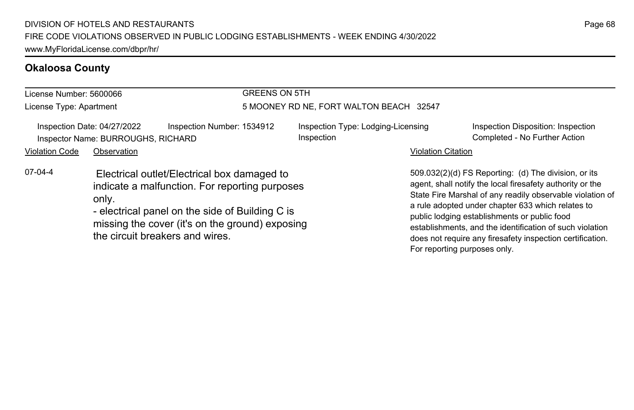#### **Okaloosa County**

#### License Number: 5600066 License Type: Apartment GREENS ON 5TH 5 MOONEY RD NE, FORT WALTON BEACH 32547 Inspection Date: 04/27/2022 Inspection Number: 1534912 Inspection Type: Lodging-Licensing Inspection Inspection Disposition: Inspection Inspector Name: BURROUGHS, RICHARD Completed - No Further Action Violation Code Observation **Violation Code** Observation **Violation** Violation Citation Citation Citation Citation 509.032(2)(d) FS Reporting: (d) The division, or its agent, shall notify the local firesafety authority or the State Fire Marshal of any readily observable violation of a rule adopted under chapter 633 which relates to public lodging establishments or public food establishments, and the identification of such violation does not require any firesafety inspection certification. 07-04-4 Electrical outlet/Electrical box damaged to indicate a malfunction. For reporting purposes only. - electrical panel on the side of Building C is missing the cover (it's on the ground) exposing the circuit breakers and wires.

For reporting purposes only.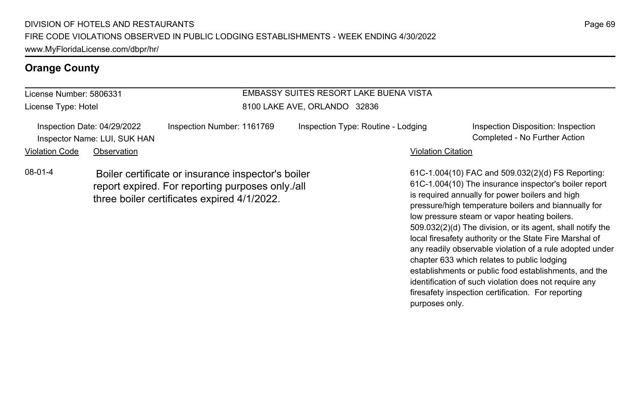#### **Orange County**

#### License Number: 5806331 License Type: Hotel EMBASSY SUITES RESORT LAKE BUENA VISTA 8100 LAKE AVE, ORLANDO 32836 Inspection Date: 04/29/2022 Inspection Number: 1161769 Inspection Type: Routine - Lodging Inspection Disposition: Inspection Inspector Name: LUI, SUK HAN Completed - No Further Action Violation Code Observation **Violation Code** Observation **Violation** Violation Citation Citation Citation Citation 61C-1.004(10) FAC and 509.032(2)(d) FS Reporting: 61C-1.004(10) The insurance inspector's boiler report is required annually for power boilers and high pressure/high temperature boilers and biannually for low pressure steam or vapor heating boilers. 509.032(2)(d) The division, or its agent, shall notify the 08-01-4 Boiler certificate or insurance inspector's boiler report expired. For reporting purposes only./all three boiler certificates expired 4/1/2022.

Page 69

local firesafety authority or the State Fire Marshal of any readily observable violation of a rule adopted under

establishments or public food establishments, and the identification of such violation does not require any firesafety inspection certification. For reporting

chapter 633 which relates to public lodging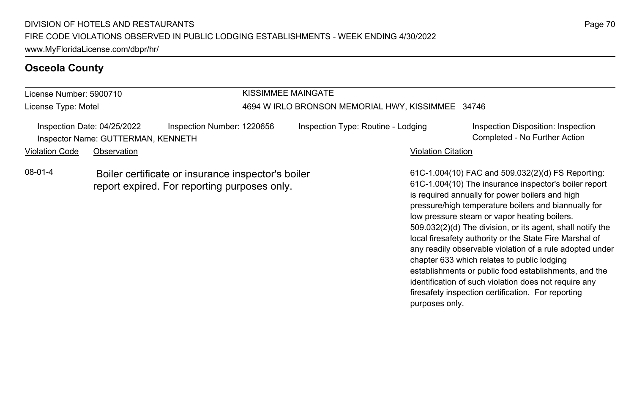#### **Osceola County**

#### License Number: 5900710 License Type: Motel KISSIMMEE MAINGATE 4694 W IRLO BRONSON MEMORIAL HWY, KISSIMMEE 34746 Inspection Date: 04/25/2022 Inspection Number: 1220656 Inspection Type: Routine - Lodging Inspection Disposition: Inspection Inspector Name: GUTTERMAN, KENNETH Completed - No Further Action Violation Code Observation **Violation Code** Observation **Violation** Violation Citation Citation Citation Citation 61C-1.004(10) FAC and 509.032(2)(d) FS Reporting: 61C-1.004(10) The insurance inspector's boiler report is required annually for power boilers and high pressure/high temperature boilers and biannually for low pressure steam or vapor heating boilers. 08-01-4 Boiler certificate or insurance inspector's boiler report expired. For reporting purposes only.

Page 70

509.032(2)(d) The division, or its agent, shall notify the local firesafety authority or the State Fire Marshal of any readily observable violation of a rule adopted under

establishments or public food establishments, and the identification of such violation does not require any firesafety inspection certification. For reporting

chapter 633 which relates to public lodging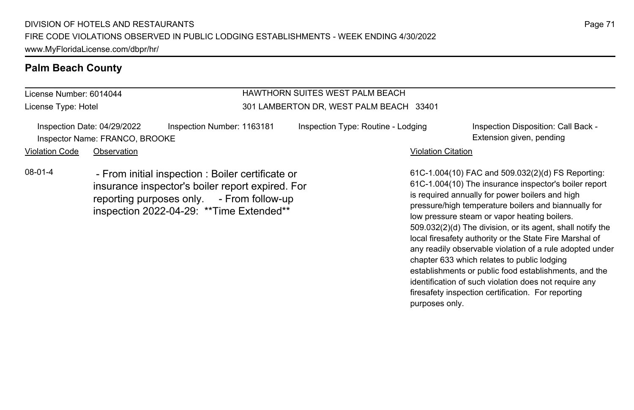#### **Palm Beach County**

License Number: 6014044 License Type: Hotel

#### HAWTHORN SUITES WEST PALM BEACH 301 LAMBERTON DR, WEST PALM BEACH 33401

Inspection Date: 04/29/2022 Inspection Number: 1163181 Inspection Type: Routine - Lodging Inspection Disposition: Call Back -Inspector Name: FRANCO, BROOKE **Extension given, pending** extension given, pending

Violation Code Observation **Violation Code** Observation **Violation** Violation Citation Citation Citation Citation

08-01-4 - From initial inspection : Boiler certificate or insurance inspector's boiler report expired. For reporting purposes only. - From follow-up inspection 2022-04-29: \*\*Time Extended\*\*

61C-1.004(10) FAC and 509.032(2)(d) FS Reporting: 61C-1.004(10) The insurance inspector's boiler report is required annually for power boilers and high pressure/high temperature boilers and biannually for low pressure steam or vapor heating boilers. 509.032(2)(d) The division, or its agent, shall notify the local firesafety authority or the State Fire Marshal of any readily observable violation of a rule adopted under chapter 633 which relates to public lodging establishments or public food establishments, and the identification of such violation does not require any firesafety inspection certification. For reporting purposes only.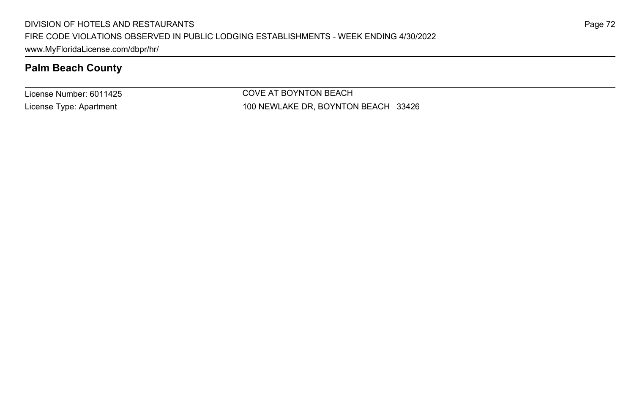### **Palm Beach County**

License Number: 6011425 License Type: Apartment

COVE AT BOYNTON BEACH 100 NEWLAKE DR, BOYNTON BEACH 33426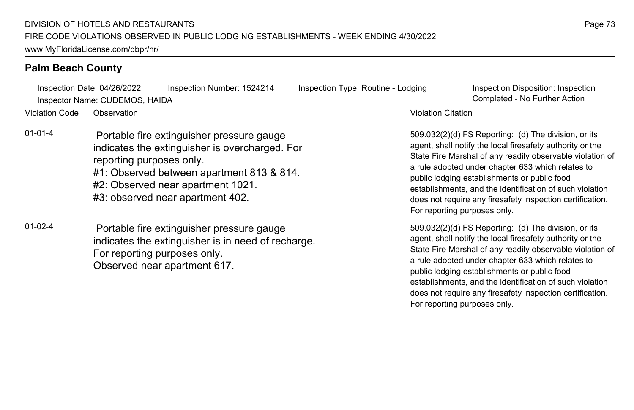Inspection Date: 04/26/2022 Inspection Number: 1524214 Inspection Type: Routine - Lodging Inspection Disposition: Inspection Inspector Name: CUDEMOS, HAIDA Completed - No Further Action

Violation Code Observation Violation Citation

- 01-01-4 Portable fire extinguisher pressure gauge indicates the extinguisher is overcharged. For reporting purposes only. #1: Observed between apartment 813 & 814. #2: Observed near apartment 1021. #3: observed near apartment 402.
- 01-02-4 Portable fire extinguisher pressure gauge indicates the extinguisher is in need of recharge. For reporting purposes only. Observed near apartment 617.

509.032(2)(d) FS Reporting: (d) The division, or its agent, shall notify the local firesafety authority or the State Fire Marshal of any readily observable violation of a rule adopted under chapter 633 which relates to public lodging establishments or public food establishments, and the identification of such violation does not require any firesafety inspection certification. For reporting purposes only.

509.032(2)(d) FS Reporting: (d) The division, or its agent, shall notify the local firesafety authority or the State Fire Marshal of any readily observable violation of a rule adopted under chapter 633 which relates to public lodging establishments or public food establishments, and the identification of such violation does not require any firesafety inspection certification. For reporting purposes only.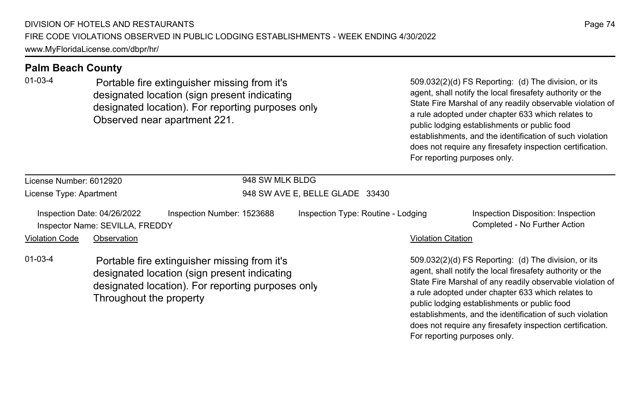01-03-4 Portable fire extinguisher missing from it's designated location (sign present indicating designated location). For reporting purposes only. Observed near apartment 221.

509.032(2)(d) FS Reporting: (d) The division, or its agent, shall notify the local firesafety authority or the State Fire Marshal of any readily observable violation of a rule adopted under chapter 633 which relates to public lodging establishments or public food establishments, and the identification of such violation does not require any firesafety inspection certification. For reporting purposes only.

does not require any firesafety inspection certification.

| License Number: 6012920<br>License Type: Apartment |                                                                                                                                                                              |                            | 948 SW MLK BLDG<br>948 SW AVE E, BELLE GLADE 33430 |                                                                                                                                                                                                                                                                                                                                                 |                                                                     |  |
|----------------------------------------------------|------------------------------------------------------------------------------------------------------------------------------------------------------------------------------|----------------------------|----------------------------------------------------|-------------------------------------------------------------------------------------------------------------------------------------------------------------------------------------------------------------------------------------------------------------------------------------------------------------------------------------------------|---------------------------------------------------------------------|--|
|                                                    |                                                                                                                                                                              |                            |                                                    |                                                                                                                                                                                                                                                                                                                                                 |                                                                     |  |
|                                                    | Inspection Date: 04/26/2022<br>Inspector Name: SEVILLA, FREDDY                                                                                                               | Inspection Number: 1523688 | Inspection Type: Routine - Lodging                 |                                                                                                                                                                                                                                                                                                                                                 | Inspection Disposition: Inspection<br>Completed - No Further Action |  |
| <b>Violation Code</b>                              | Observation                                                                                                                                                                  |                            |                                                    | <b>Violation Citation</b>                                                                                                                                                                                                                                                                                                                       |                                                                     |  |
| $01 - 03 - 4$                                      | Portable fire extinguisher missing from it's<br>designated location (sign present indicating<br>designated location). For reporting purposes only<br>Throughout the property |                            |                                                    | 509.032(2)(d) FS Reporting: (d) The division, or its<br>agent, shall notify the local firesafety authority or the<br>State Fire Marshal of any readily observable violation of<br>a rule adopted under chapter 633 which relates to<br>public lodging establishments or public food<br>establishments, and the identification of such violation |                                                                     |  |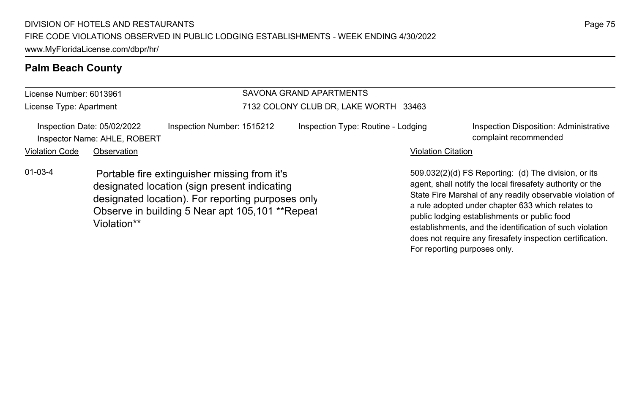#### License Number: 6013961 License Type: Apartment SAVONA GRAND APARTMENTS 7132 COLONY CLUB DR, LAKE WORTH 33463 Inspection Date: 05/02/2022 Inspection Number: 1515212 Inspection Type: Routine - Lodging Inspection Disposition: Administrative Inspector Name: AHLE, ROBERT complaint recommended Violation Code Observation **Violation Code** Observation **Violation** Violation Citation Citation Citation Citation 509.032(2)(d) FS Reporting: (d) The division, or its agent, shall notify the local firesafety authority or the State Fire Marshal of any readily observable violation of a rule adopted under chapter 633 which relates to public lodging establishments or public food establishments, and the identification of such violation 01-03-4 Portable fire extinguisher missing from it's designated location (sign present indicating designated location). For reporting purposes only. Observe in building 5 Near apt 105,101 \*\*Repeat Violation\*\*

does not require any firesafety inspection certification.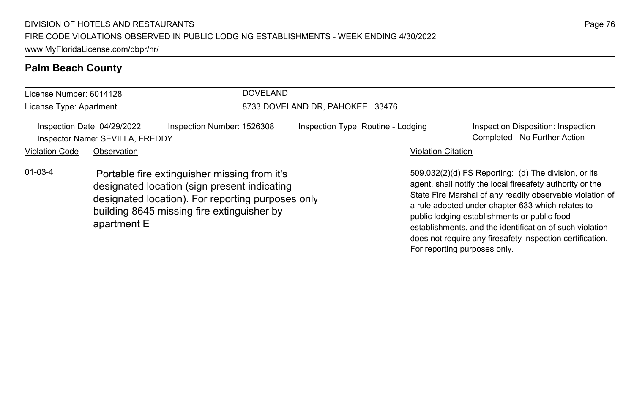| License Number: 6014128                                        |                                                                                                                                                                                                                | <b>DOVELAND</b>            |                                    |                                                                                                                                                                                                                                                                                                                                                 |  |  |
|----------------------------------------------------------------|----------------------------------------------------------------------------------------------------------------------------------------------------------------------------------------------------------------|----------------------------|------------------------------------|-------------------------------------------------------------------------------------------------------------------------------------------------------------------------------------------------------------------------------------------------------------------------------------------------------------------------------------------------|--|--|
| License Type: Apartment                                        |                                                                                                                                                                                                                |                            | 8733 DOVELAND DR, PAHOKEE 33476    |                                                                                                                                                                                                                                                                                                                                                 |  |  |
| Inspection Date: 04/29/2022<br>Inspector Name: SEVILLA, FREDDY |                                                                                                                                                                                                                | Inspection Number: 1526308 | Inspection Type: Routine - Lodging | Inspection Disposition: Inspection<br>Completed - No Further Action                                                                                                                                                                                                                                                                             |  |  |
| <b>Violation Code</b>                                          | Observation                                                                                                                                                                                                    |                            |                                    | <b>Violation Citation</b>                                                                                                                                                                                                                                                                                                                       |  |  |
| $01 - 03 - 4$                                                  | Portable fire extinguisher missing from it's<br>designated location (sign present indicating<br>designated location). For reporting purposes only<br>building 8645 missing fire extinguisher by<br>apartment E |                            |                                    | 509.032(2)(d) FS Reporting: (d) The division, or its<br>agent, shall notify the local firesafety authority or the<br>State Fire Marshal of any readily observable violation of<br>a rule adopted under chapter 633 which relates to<br>public lodging establishments or public food<br>establishments, and the identification of such violation |  |  |

Page 76

does not require any firesafety inspection certification.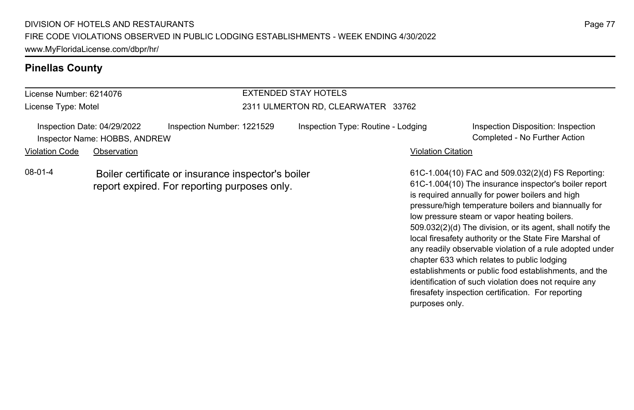#### **Pinellas County**

### License Number: 6214076 License Type: Motel EXTENDED STAY HOTELS 2311 ULMERTON RD, CLEARWATER 33762 Inspection Date: 04/29/2022 Inspection Number: 1221529 Inspection Type: Routine - Lodging Inspection Disposition: Inspection Inspector Name: HOBBS, ANDREW Completed - No Further Action Violation Code Observation **Violation Code** Observation **Violation** Violation Citation Citation Citation Citation 08-01-4 Boiler certificate or insurance inspector's boiler report expired. For reporting purposes only.

61C-1.004(10) FAC and 509.032(2)(d) FS Reporting: 61C-1.004(10) The insurance inspector's boiler report is required annually for power boilers and high pressure/high temperature boilers and biannually for low pressure steam or vapor heating boilers. 509.032(2)(d) The division, or its agent, shall notify the local firesafety authority or the State Fire Marshal of any readily observable violation of a rule adopted under chapter 633 which relates to public lodging establishments or public food establishments, and the identification of such violation does not require any firesafety inspection certification. For reporting purposes only.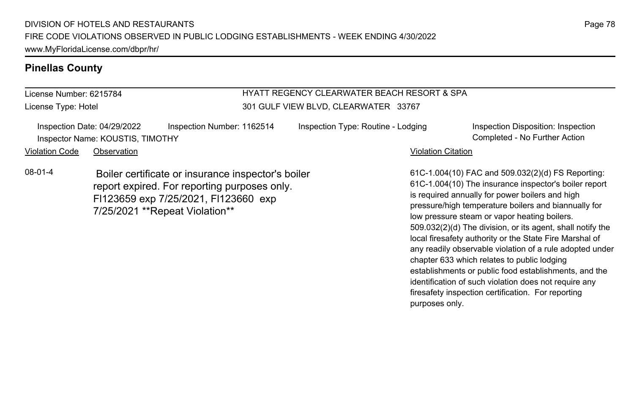#### **Pinellas County**

License Number: 6215784 License Type: Hotel

#### HYATT REGENCY CLEARWATER BEACH RESORT & SPA 301 GULF VIEW BLVD, CLEARWATER 33767

| Inspection Date: 04/29/2022      | Inspection Number: 1162514 |
|----------------------------------|----------------------------|
| Inspector Name: KOUSTIS, TIMOTHY |                            |

Inspection Type: Routine - Lodging Inspection Disposition: Inspection

Completed - No Further Action

Violation Code Observation **Violation Code** Observation **Violation** Violation Citation Citation Citation Citation

08-01-4 Boiler certificate or insurance inspector's boiler report expired. For reporting purposes only. Fl123659 exp 7/25/2021, Fl123660 exp 7/25/2021 \*\*Repeat Violation\*\*

61C-1.004(10) FAC and 509.032(2)(d) FS Reporting: 61C-1.004(10) The insurance inspector's boiler report is required annually for power boilers and high pressure/high temperature boilers and biannually for low pressure steam or vapor heating boilers. 509.032(2)(d) The division, or its agent, shall notify the local firesafety authority or the State Fire Marshal of any readily observable violation of a rule adopted under chapter 633 which relates to public lodging establishments or public food establishments, and the identification of such violation does not require any firesafety inspection certification. For reporting purposes only.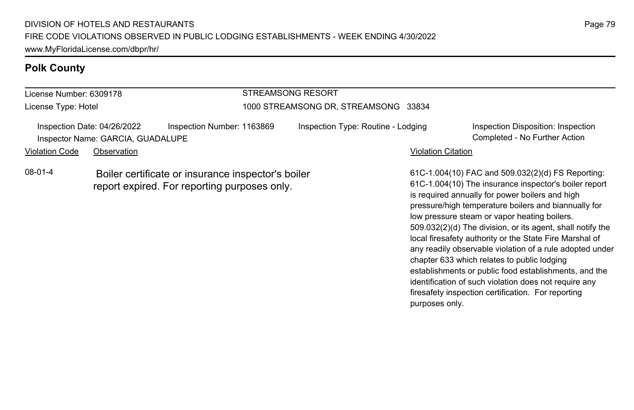## **Polk County**

#### License Number: 6309178 License Type: Hotel STREAMSONG RESORT 1000 STREAMSONG DR, STREAMSONG 33834 Inspection Date: 04/26/2022 Inspection Number: 1163869 Inspection Type: Routine - Lodging Inspection Disposition: Inspection Inspector Name: GARCIA, GUADALUPE Completed - No Further Action Violation Code Observation **Violation Code** Observation **Violation** Violation Citation Citation Citation Citation 61C-1.004(10) FAC and 509.032(2)(d) FS Reporting: 08-01-4 Boiler certificate or insurance inspector's boiler report expired. For reporting purposes only.

61C-1.004(10) The insurance inspector's boiler report is required annually for power boilers and high pressure/high temperature boilers and biannually for low pressure steam or vapor heating boilers. 509.032(2)(d) The division, or its agent, shall notify the local firesafety authority or the State Fire Marshal of any readily observable violation of a rule adopted under chapter 633 which relates to public lodging establishments or public food establishments, and the identification of such violation does not require any firesafety inspection certification. For reporting purposes only.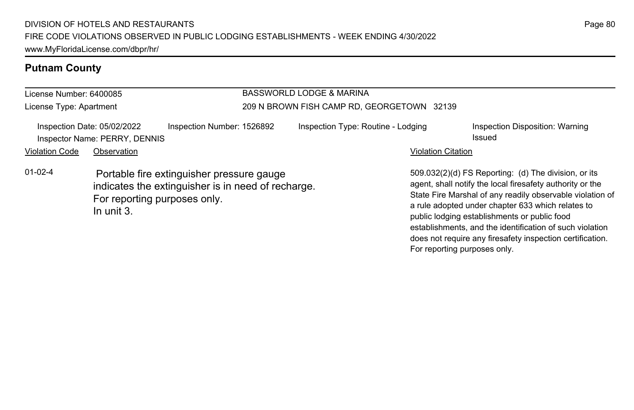## **Putnam County**

| License Number: 6400085 |                                                              |                                                                                                                                 | BASSWORLD LODGE & MARINA                   |                                                                                                                                                                                                                                                                                                                                                 |                                           |  |  |
|-------------------------|--------------------------------------------------------------|---------------------------------------------------------------------------------------------------------------------------------|--------------------------------------------|-------------------------------------------------------------------------------------------------------------------------------------------------------------------------------------------------------------------------------------------------------------------------------------------------------------------------------------------------|-------------------------------------------|--|--|
| License Type: Apartment |                                                              |                                                                                                                                 | 209 N BROWN FISH CAMP RD, GEORGETOWN 32139 |                                                                                                                                                                                                                                                                                                                                                 |                                           |  |  |
|                         | Inspection Date: 05/02/2022<br>Inspector Name: PERRY, DENNIS | Inspection Number: 1526892                                                                                                      | Inspection Type: Routine - Lodging         |                                                                                                                                                                                                                                                                                                                                                 | Inspection Disposition: Warning<br>Issued |  |  |
| <b>Violation Code</b>   | Observation                                                  |                                                                                                                                 |                                            | <b>Violation Citation</b>                                                                                                                                                                                                                                                                                                                       |                                           |  |  |
| $01 - 02 - 4$           | In unit 3.                                                   | Portable fire extinguisher pressure gauge<br>indicates the extinguisher is in need of recharge.<br>For reporting purposes only. |                                            | 509.032(2)(d) FS Reporting: (d) The division, or its<br>agent, shall notify the local firesafety authority or the<br>State Fire Marshal of any readily observable violation of<br>a rule adopted under chapter 633 which relates to<br>public lodging establishments or public food<br>establishments, and the identification of such violation |                                           |  |  |

does not require any firesafety inspection certification.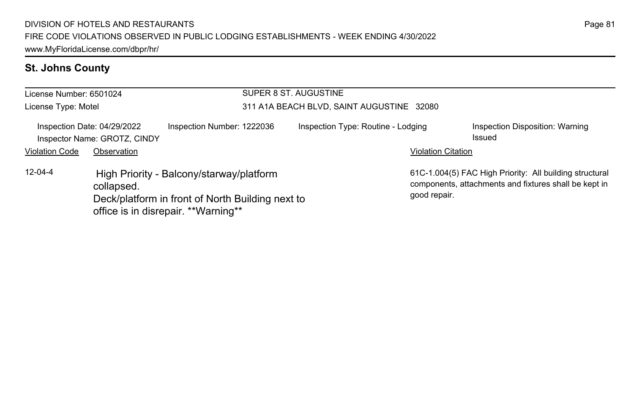## **St. Johns County**

| License Number: 6501024<br>License Type: Motel                                            |                                                                                                                                                   |  | SUPER 8 ST. AUGUSTINE<br>311 A1A BEACH BLVD, SAINT AUGUSTINE 32080 |  |                                           |                                                                                                                  |  |
|-------------------------------------------------------------------------------------------|---------------------------------------------------------------------------------------------------------------------------------------------------|--|--------------------------------------------------------------------|--|-------------------------------------------|------------------------------------------------------------------------------------------------------------------|--|
| Inspection Number: 1222036<br>Inspection Date: 04/29/2022<br>Inspector Name: GROTZ, CINDY |                                                                                                                                                   |  | Inspection Type: Routine - Lodging                                 |  | Inspection Disposition: Warning<br>Issued |                                                                                                                  |  |
| <b>Violation Code</b>                                                                     | Observation                                                                                                                                       |  |                                                                    |  | <b>Violation Citation</b>                 |                                                                                                                  |  |
| $12 - 04 - 4$                                                                             | High Priority - Balcony/starway/platform<br>collapsed.<br>Deck/platform in front of North Building next to<br>office is in disrepair. **Warning** |  |                                                                    |  | good repair.                              | 61C-1.004(5) FAC High Priority: All building structural<br>components, attachments and fixtures shall be kept in |  |